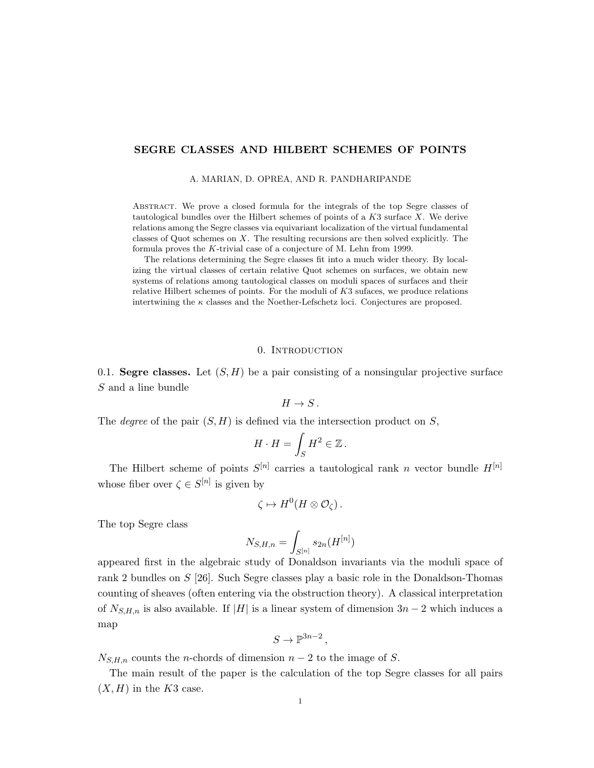# SEGRE CLASSES AND HILBERT SCHEMES OF POINTS

#### A. MARIAN, D. OPREA, AND R. PANDHARIPANDE

Abstract. We prove a closed formula for the integrals of the top Segre classes of tautological bundles over the Hilbert schemes of points of a  $K3$  surface  $X$ . We derive relations among the Segre classes via equivariant localization of the virtual fundamental classes of Quot schemes on  $X$ . The resulting recursions are then solved explicitly. The formula proves the K-trivial case of a conjecture of M. Lehn from 1999.

The relations determining the Segre classes fit into a much wider theory. By localizing the virtual classes of certain relative Quot schemes on surfaces, we obtain new systems of relations among tautological classes on moduli spaces of surfaces and their relative Hilbert schemes of points. For the moduli of  $K3$  sufaces, we produce relations intertwining the  $\kappa$  classes and the Noether-Lefschetz loci. Conjectures are proposed.

## 0. INTRODUCTION

0.1. Segre classes. Let  $(S, H)$  be a pair consisting of a nonsingular projective surface S and a line bundle

 $H \to S$ .

The *degree* of the pair  $(S, H)$  is defined via the intersection product on S,

$$
H \cdot H = \int_S H^2 \in \mathbb{Z} \, .
$$

The Hilbert scheme of points  $S^{[n]}$  carries a tautological rank n vector bundle  $H^{[n]}$ whose fiber over  $\zeta \in S^{[n]}$  is given by

$$
\zeta \mapsto H^0(H \otimes \mathcal{O}_{\zeta}).
$$

The top Segre class

$$
N_{S,H,n}=\int_{S^{[n]}}s_{2n}(H^{[n]})
$$

appeared first in the algebraic study of Donaldson invariants via the moduli space of rank 2 bundles on S [26]. Such Segre classes play a basic role in the Donaldson-Thomas counting of sheaves (often entering via the obstruction theory). A classical interpretation of  $N_{S,H,n}$  is also available. If |H| is a linear system of dimension  $3n-2$  which induces a map

$$
S \to \mathbb{P}^{3n-2},
$$

 $N_{S,H,n}$  counts the n-chords of dimension  $n-2$  to the image of S.

The main result of the paper is the calculation of the top Segre classes for all pairs  $(X, H)$  in the K3 case.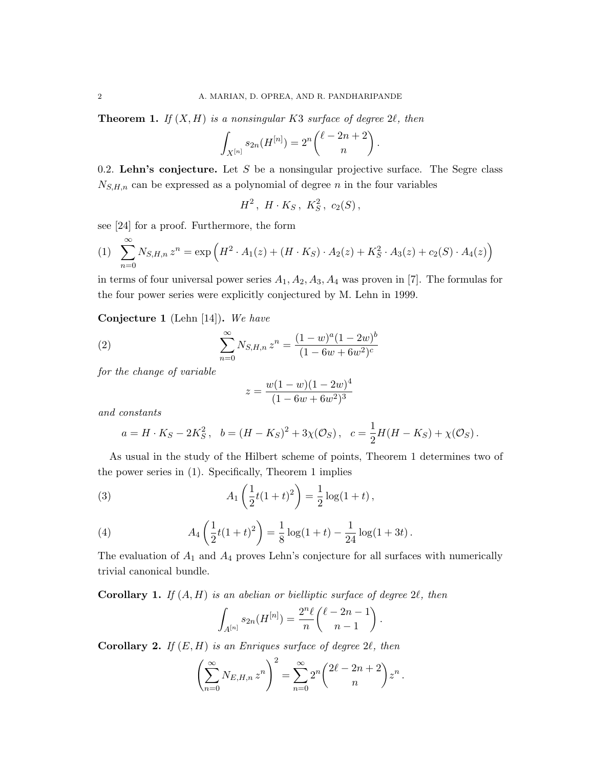**Theorem 1.** If  $(X, H)$  is a nonsingular K3 surface of degree 2 $\ell$ , then

$$
\int_{X^{[n]}} s_{2n}(H^{[n]}) = 2^n \binom{\ell - 2n + 2}{n}.
$$

0.2. Lehn's conjecture. Let S be a nonsingular projective surface. The Segre class  $N_{S,H,n}$  can be expressed as a polynomial of degree n in the four variables

 $H^2$ ,  $H \cdot K_S$ ,  $K_S^2$ ,  $c_2(S)$ ,

see [24] for a proof. Furthermore, the form

(1) 
$$
\sum_{n=0}^{\infty} N_{S,H,n} z^n = \exp \left( H^2 \cdot A_1(z) + (H \cdot K_S) \cdot A_2(z) + K_S^2 \cdot A_3(z) + c_2(S) \cdot A_4(z) \right)
$$

in terms of four universal power series  $A_1, A_2, A_3, A_4$  was proven in [7]. The formulas for the four power series were explicitly conjectured by M. Lehn in 1999.

Conjecture 1 (Lehn [14]). We have

(2) 
$$
\sum_{n=0}^{\infty} N_{S,H,n} z^n = \frac{(1-w)^a (1-2w)^b}{(1-6w+6w^2)^c}
$$

for the change of variable

$$
z = \frac{w(1-w)(1-2w)^4}{(1-6w+6w^2)^3}
$$

and constants

$$
a = H \cdot K_S - 2K_S^2
$$
,  $b = (H - K_S)^2 + 3\chi(\mathcal{O}_S)$ ,  $c = \frac{1}{2}H(H - K_S) + \chi(\mathcal{O}_S)$ .

As usual in the study of the Hilbert scheme of points, Theorem 1 determines two of the power series in (1). Specifically, Theorem 1 implies

(3) 
$$
A_1\left(\frac{1}{2}t(1+t)^2\right) = \frac{1}{2}\log(1+t),
$$

(4) 
$$
A_4\left(\frac{1}{2}t(1+t)^2\right) = \frac{1}{8}\log(1+t) - \frac{1}{24}\log(1+3t).
$$

The evaluation of  $A_1$  and  $A_4$  proves Lehn's conjecture for all surfaces with numerically trivial canonical bundle.

**Corollary 1.** If  $(A, H)$  is an abelian or bielliptic surface of degree  $2\ell$ , then

$$
\int_{A^{[n]}} s_{2n}(H^{[n]}) = \frac{2^n \ell}{n} { \ell - 2n - 1 \choose n - 1}.
$$

**Corollary 2.** If  $(E, H)$  is an Enriques surface of degree 2 $\ell$ , then

$$
\left(\sum_{n=0}^{\infty} N_{E,H,n} z^n\right)^2 = \sum_{n=0}^{\infty} 2^n \binom{2\ell - 2n + 2}{n} z^n.
$$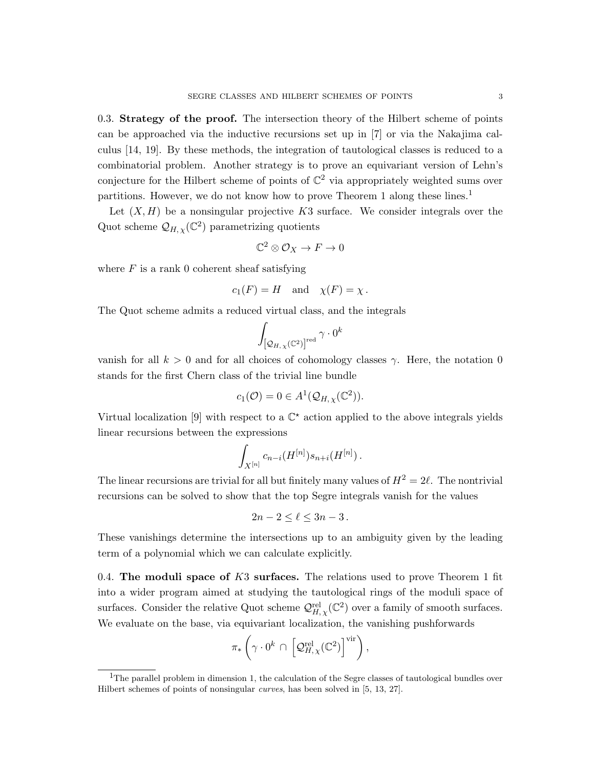0.3. Strategy of the proof. The intersection theory of the Hilbert scheme of points can be approached via the inductive recursions set up in [7] or via the Nakajima calculus [14, 19]. By these methods, the integration of tautological classes is reduced to a combinatorial problem. Another strategy is to prove an equivariant version of Lehn's conjecture for the Hilbert scheme of points of  $\mathbb{C}^2$  via appropriately weighted sums over partitions. However, we do not know how to prove Theorem 1 along these lines.<sup>1</sup>

Let  $(X, H)$  be a nonsingular projective K3 surface. We consider integrals over the Quot scheme  $\mathcal{Q}_{H,\chi}(\mathbb{C}^2)$  parametrizing quotients

$$
\mathbb{C}^2\otimes\mathcal{O}_X\to F\to 0
$$

where  $F$  is a rank 0 coherent sheaf satisfying

$$
c_1(F) = H
$$
 and  $\chi(F) = \chi$ .

The Quot scheme admits a reduced virtual class, and the integrals

$$
\int_{\left[\mathcal{Q}_{H,\,\chi}\left(\mathbb{C}^2\right)\right]^{\mathrm{red}}} \gamma \cdot 0^k
$$

vanish for all  $k > 0$  and for all choices of cohomology classes  $\gamma$ . Here, the notation 0 stands for the first Chern class of the trivial line bundle

$$
c_1(\mathcal{O}) = 0 \in A^1(\mathcal{Q}_{H,\chi}(\mathbb{C}^2)).
$$

Virtual localization [9] with respect to a  $\mathbb{C}^*$  action applied to the above integrals yields linear recursions between the expressions

$$
\int_{X^{[n]}} c_{n-i}(H^{[n]}) s_{n+i}(H^{[n]})\,.
$$

The linear recursions are trivial for all but finitely many values of  $H^2 = 2\ell$ . The nontrivial recursions can be solved to show that the top Segre integrals vanish for the values

$$
2n-2\leq \ell\leq 3n-3\,.
$$

These vanishings determine the intersections up to an ambiguity given by the leading term of a polynomial which we can calculate explicitly.

0.4. The moduli space of  $K3$  surfaces. The relations used to prove Theorem 1 fit into a wider program aimed at studying the tautological rings of the moduli space of surfaces. Consider the relative Quot scheme  $\mathcal{Q}_{H,\chi}^{\text{rel}}(\mathbb{C}^2)$  over a family of smooth surfaces. We evaluate on the base, via equivariant localization, the vanishing pushforwards

$$
\pi_*\left(\gamma\cdot 0^k\,\cap\,\left[\mathcal{Q}_{H,\,\chi}^{\textup{rel}}(\mathbb{C}^2)\right]^{\textup{vir}}\right),\,
$$

<sup>&</sup>lt;sup>1</sup>The parallel problem in dimension 1, the calculation of the Segre classes of tautological bundles over Hilbert schemes of points of nonsingular curves, has been solved in [5, 13, 27].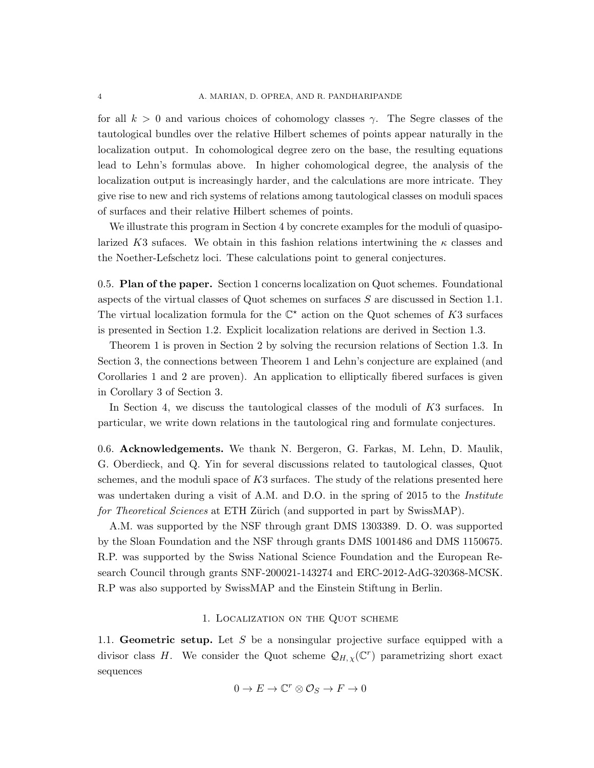for all  $k > 0$  and various choices of cohomology classes  $\gamma$ . The Segre classes of the tautological bundles over the relative Hilbert schemes of points appear naturally in the localization output. In cohomological degree zero on the base, the resulting equations lead to Lehn's formulas above. In higher cohomological degree, the analysis of the localization output is increasingly harder, and the calculations are more intricate. They give rise to new and rich systems of relations among tautological classes on moduli spaces of surfaces and their relative Hilbert schemes of points.

We illustrate this program in Section 4 by concrete examples for the moduli of quasipolarized K3 sufaces. We obtain in this fashion relations intertwining the  $\kappa$  classes and the Noether-Lefschetz loci. These calculations point to general conjectures.

0.5. Plan of the paper. Section 1 concerns localization on Quot schemes. Foundational aspects of the virtual classes of Quot schemes on surfaces S are discussed in Section 1.1. The virtual localization formula for the  $\mathbb{C}^*$  action on the Quot schemes of K3 surfaces is presented in Section 1.2. Explicit localization relations are derived in Section 1.3.

Theorem 1 is proven in Section 2 by solving the recursion relations of Section 1.3. In Section 3, the connections between Theorem 1 and Lehn's conjecture are explained (and Corollaries 1 and 2 are proven). An application to elliptically fibered surfaces is given in Corollary 3 of Section 3.

In Section 4, we discuss the tautological classes of the moduli of K3 surfaces. In particular, we write down relations in the tautological ring and formulate conjectures.

0.6. Acknowledgements. We thank N. Bergeron, G. Farkas, M. Lehn, D. Maulik, G. Oberdieck, and Q. Yin for several discussions related to tautological classes, Quot schemes, and the moduli space of K3 surfaces. The study of the relations presented here was undertaken during a visit of A.M. and D.O. in the spring of 2015 to the *Institute* for Theoretical Sciences at ETH Zürich (and supported in part by SwissMAP).

A.M. was supported by the NSF through grant DMS 1303389. D. O. was supported by the Sloan Foundation and the NSF through grants DMS 1001486 and DMS 1150675. R.P. was supported by the Swiss National Science Foundation and the European Research Council through grants SNF-200021-143274 and ERC-2012-AdG-320368-MCSK. R.P was also supported by SwissMAP and the Einstein Stiftung in Berlin.

### 1. Localization on the Quot scheme

1.1. Geometric setup. Let S be a nonsingular projective surface equipped with a divisor class H. We consider the Quot scheme  $\mathcal{Q}_{H,\chi}(\mathbb{C}^r)$  parametrizing short exact sequences

$$
0 \to E \to \mathbb{C}^r \otimes \mathcal{O}_S \to F \to 0
$$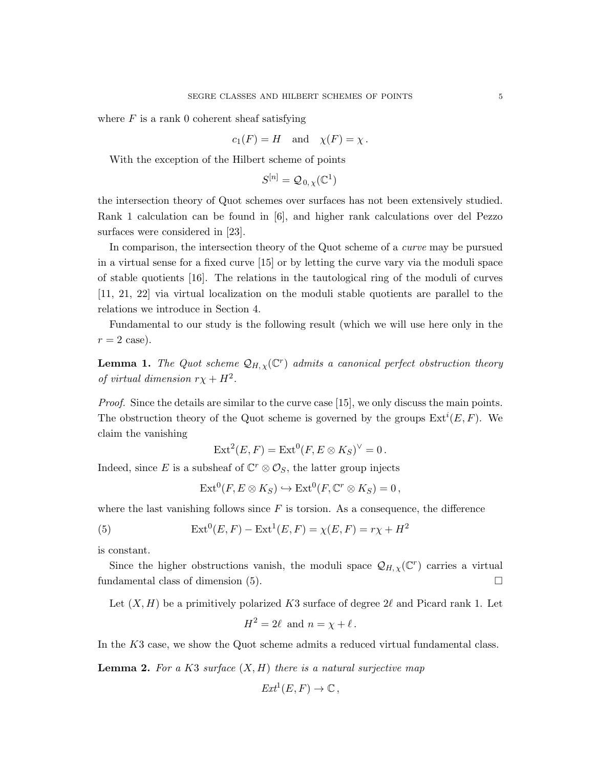where  $F$  is a rank 0 coherent sheaf satisfying

$$
c_1(F) = H
$$
 and  $\chi(F) = \chi$ .

With the exception of the Hilbert scheme of points

$$
S^{[n]} = \mathcal{Q}_{0,\chi}(\mathbb{C}^1)
$$

the intersection theory of Quot schemes over surfaces has not been extensively studied. Rank 1 calculation can be found in [6], and higher rank calculations over del Pezzo surfaces were considered in [23].

In comparison, the intersection theory of the Quot scheme of a curve may be pursued in a virtual sense for a fixed curve [15] or by letting the curve vary via the moduli space of stable quotients [16]. The relations in the tautological ring of the moduli of curves [11, 21, 22] via virtual localization on the moduli stable quotients are parallel to the relations we introduce in Section 4.

Fundamental to our study is the following result (which we will use here only in the  $r = 2 \text{ case}.$ 

**Lemma 1.** The Quot scheme  $\mathcal{Q}_{H,\chi}(\mathbb{C}^r)$  admits a canonical perfect obstruction theory of virtual dimension  $r\chi + H^2$ .

Proof. Since the details are similar to the curve case [15], we only discuss the main points. The obstruction theory of the Quot scheme is governed by the groups  $\text{Ext}^i(E, F)$ . We claim the vanishing

$$
Ext2(E, F) = Ext0(F, E \otimes KS)\vee = 0.
$$

Indeed, since E is a subsheaf of  $\mathbb{C}^r \otimes \mathcal{O}_S$ , the latter group injects

$$
Ext^0(F, E \otimes K_S) \hookrightarrow Ext^0(F, \mathbb{C}^r \otimes K_S) = 0,
$$

where the last vanishing follows since  $F$  is torsion. As a consequence, the difference

(5) 
$$
Ext^{0}(E, F) - Ext^{1}(E, F) = \chi(E, F) = r\chi + H^{2}
$$

is constant.

Since the higher obstructions vanish, the moduli space  $\mathcal{Q}_{H,\chi}(\mathbb{C}^r)$  carries a virtual fundamental class of dimension (5).

Let  $(X, H)$  be a primitively polarized K3 surface of degree 2 $\ell$  and Picard rank 1. Let

$$
H^2 = 2\ell \text{ and } n = \chi + \ell.
$$

In the K3 case, we show the Quot scheme admits a reduced virtual fundamental class.

**Lemma 2.** For a K3 surface  $(X, H)$  there is a natural surjective map

$$
Ext^1(E, F) \to \mathbb{C},
$$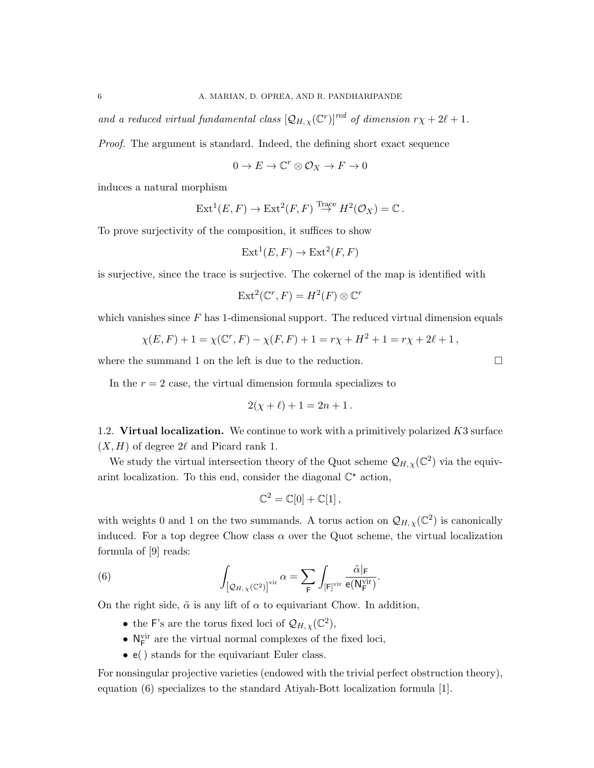and a reduced virtual fundamental class  $\left[\mathcal{Q}_{H,\chi}(\mathbb{C}^r)\right]^{red}$  of dimension  $r\chi + 2\ell + 1$ .

Proof. The argument is standard. Indeed, the defining short exact sequence

$$
0 \to E \to \mathbb{C}^r \otimes \mathcal{O}_X \to F \to 0
$$

induces a natural morphism

$$
\text{Ext}^1(E, F) \to \text{Ext}^2(F, F) \overset{\text{Trace}}{\to} H^2(\mathcal{O}_X) = \mathbb{C}.
$$

To prove surjectivity of the composition, it suffices to show

$$
Ext1(E, F) \to Ext2(F, F)
$$

is surjective, since the trace is surjective. The cokernel of the map is identified with

$$
\text{Ext}^2(\mathbb{C}^r, F) = H^2(F) \otimes \mathbb{C}^r
$$

which vanishes since  $F$  has 1-dimensional support. The reduced virtual dimension equals

$$
\chi(E, F) + 1 = \chi(\mathbb{C}^r, F) - \chi(F, F) + 1 = r\chi + H^2 + 1 = r\chi + 2\ell + 1,
$$

where the summand 1 on the left is due to the reduction.

In the  $r = 2$  case, the virtual dimension formula specializes to

$$
2(\chi + \ell) + 1 = 2n + 1.
$$

1.2. Virtual localization. We continue to work with a primitively polarized  $K3$  surface  $(X, H)$  of degree  $2\ell$  and Picard rank 1.

We study the virtual intersection theory of the Quot scheme  $\mathcal{Q}_{H,\chi}(\mathbb{C}^2)$  via the equivarint localization. To this end, consider the diagonal  $\mathbb{C}^*$  action,

$$
\mathbb{C}^2 = \mathbb{C}[0] + \mathbb{C}[1],
$$

with weights 0 and 1 on the two summands. A torus action on  $\mathcal{Q}_{H,\chi}(\mathbb{C}^2)$  is canonically induced. For a top degree Chow class  $\alpha$  over the Quot scheme, the virtual localization formula of [9] reads:

(6) 
$$
\int_{\left[\mathcal{Q}_{H,\chi}(\mathbb{C}^2)\right]^{\text{vir}}} \alpha = \sum_{\mathsf{F}} \int_{\left[\mathsf{F}\right]^{\text{vir}}} \frac{\tilde{\alpha}|\mathsf{F}}{e(\mathsf{N}_{\mathsf{F}}^{\text{vir}})}.
$$

On the right side,  $\tilde{\alpha}$  is any lift of  $\alpha$  to equivariant Chow. In addition,

- the F's are the torus fixed loci of  $\mathcal{Q}_{H,\chi}(\mathbb{C}^2)$ ,
- $\bullet$   $\rm N_F^{vir}$  are the virtual normal complexes of the fixed loci,
- e( ) stands for the equivariant Euler class.

For nonsingular projective varieties (endowed with the trivial perfect obstruction theory), equation (6) specializes to the standard Atiyah-Bott localization formula [1].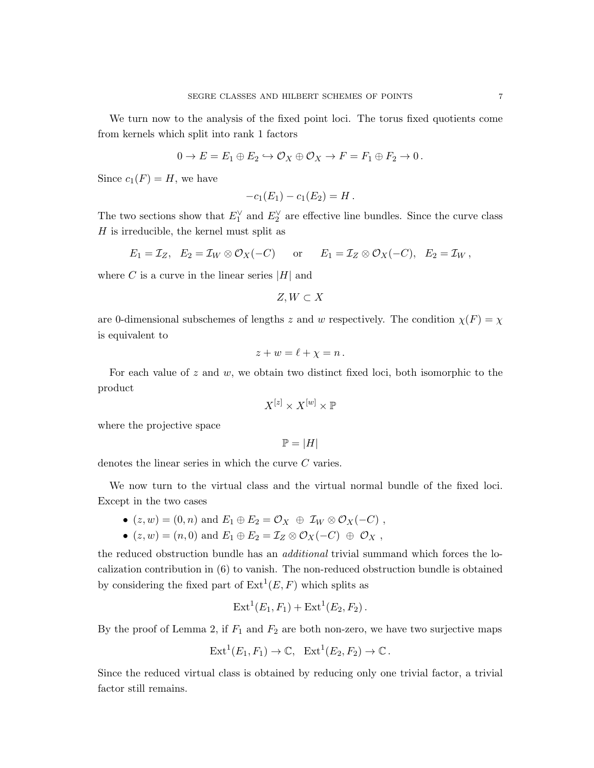We turn now to the analysis of the fixed point loci. The torus fixed quotients come from kernels which split into rank 1 factors

$$
0 \to E = E_1 \oplus E_2 \hookrightarrow \mathcal{O}_X \oplus \mathcal{O}_X \to F = F_1 \oplus F_2 \to 0.
$$

Since  $c_1(F) = H$ , we have

$$
-c_1(E_1) - c_1(E_2) = H.
$$

The two sections show that  $E_1^{\vee}$  and  $E_2^{\vee}$  are effective line bundles. Since the curve class  $H$  is irreducible, the kernel must split as

$$
E_1 = \mathcal{I}_Z
$$
,  $E_2 = \mathcal{I}_W \otimes \mathcal{O}_X(-C)$  or  $E_1 = \mathcal{I}_Z \otimes \mathcal{O}_X(-C)$ ,  $E_2 = \mathcal{I}_W$ ,

where  $C$  is a curve in the linear series  $|H|$  and

$$
Z, W \subset X
$$

are 0-dimensional subschemes of lengths z and w respectively. The condition  $\chi(F) = \chi$ is equivalent to

$$
z + w = \ell + \chi = n.
$$

For each value of  $z$  and  $w$ , we obtain two distinct fixed loci, both isomorphic to the product

$$
X^{[z]} \times X^{[w]} \times \mathbb{P}
$$

where the projective space

$$
\mathbb{P} = |H|
$$

denotes the linear series in which the curve C varies.

We now turn to the virtual class and the virtual normal bundle of the fixed loci. Except in the two cases

- $(z, w) = (0, n)$  and  $E_1 \oplus E_2 = \mathcal{O}_X \oplus \mathcal{I}_W \otimes \mathcal{O}_X(-C)$ ,
- $(z, w) = (n, 0)$  and  $E_1 \oplus E_2 = \mathcal{I}_Z \otimes \mathcal{O}_X(-C) \oplus \mathcal{O}_X$ ,

the reduced obstruction bundle has an additional trivial summand which forces the localization contribution in (6) to vanish. The non-reduced obstruction bundle is obtained by considering the fixed part of  $Ext<sup>1</sup>(E, F)$  which splits as

$$
Ext1(E1, F1) + Ext1(E2, F2).
$$

By the proof of Lemma 2, if  $F_1$  and  $F_2$  are both non-zero, we have two surjective maps

$$
Ext1(E1, F1) \to \mathbb{C}, Ext1(E2, F2) \to \mathbb{C}.
$$

Since the reduced virtual class is obtained by reducing only one trivial factor, a trivial factor still remains.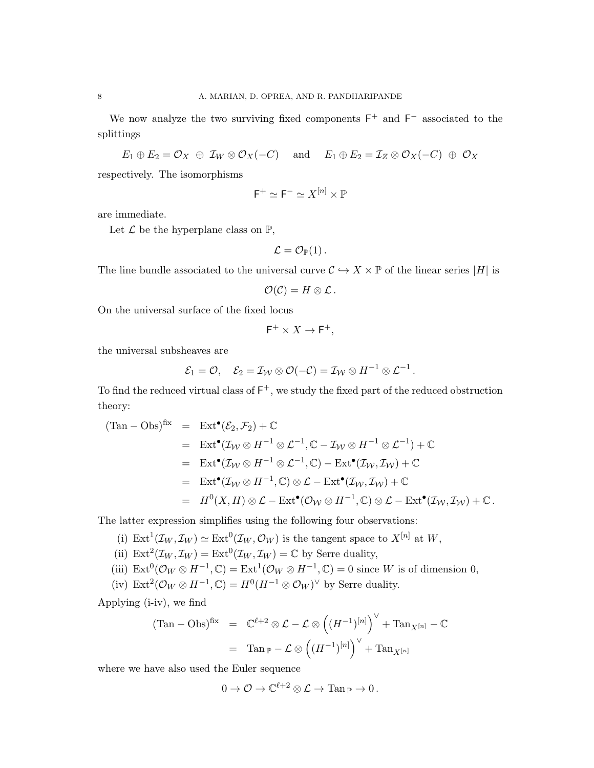We now analyze the two surviving fixed components  $F^+$  and  $F^-$  associated to the splittings

 $E_1 \oplus E_2 = \mathcal{O}_X \oplus \mathcal{I}_W \otimes \mathcal{O}_X(-C)$  and  $E_1 \oplus E_2 = \mathcal{I}_Z \otimes \mathcal{O}_X(-C) \oplus \mathcal{O}_X$ respectively. The isomorphisms

$$
\mathsf{F}^+\simeq \mathsf{F}^-\simeq X^{[n]}\times \mathbb{P}
$$

are immediate.

Let  $\mathcal L$  be the hyperplane class on  $\mathbb P$ ,

$$
\mathcal{L}=\mathcal{O}_{\mathbb{P}}(1)\,.
$$

The line bundle associated to the universal curve  $C \hookrightarrow X \times \mathbb{P}$  of the linear series |H| is

$$
\mathcal{O}(\mathcal{C})=H\otimes\mathcal{L}.
$$

On the universal surface of the fixed locus

$$
\mathsf{F}^+ \times X \to \mathsf{F}^+,
$$

the universal subsheaves are

$$
\mathcal{E}_1 = \mathcal{O}, \quad \mathcal{E}_2 = \mathcal{I}_{\mathcal{W}} \otimes \mathcal{O}(-\mathcal{C}) = \mathcal{I}_{\mathcal{W}} \otimes H^{-1} \otimes \mathcal{L}^{-1}.
$$

To find the reduced virtual class of  $F^+$ , we study the fixed part of the reduced obstruction theory:

$$
(\text{Tan} - \text{Obs})^{\text{fix}} = \text{Ext}^{\bullet}(\mathcal{E}_2, \mathcal{F}_2) + \mathbb{C}
$$
  
\n
$$
= \text{Ext}^{\bullet}(\mathcal{I}_{\mathcal{W}} \otimes H^{-1} \otimes \mathcal{L}^{-1}, \mathbb{C} - \mathcal{I}_{\mathcal{W}} \otimes H^{-1} \otimes \mathcal{L}^{-1}) + \mathbb{C}
$$
  
\n
$$
= \text{Ext}^{\bullet}(\mathcal{I}_{\mathcal{W}} \otimes H^{-1} \otimes \mathcal{L}^{-1}, \mathbb{C}) - \text{Ext}^{\bullet}(\mathcal{I}_{\mathcal{W}}, \mathcal{I}_{\mathcal{W}}) + \mathbb{C}
$$
  
\n
$$
= \text{Ext}^{\bullet}(\mathcal{I}_{\mathcal{W}} \otimes H^{-1}, \mathbb{C}) \otimes \mathcal{L} - \text{Ext}^{\bullet}(\mathcal{I}_{\mathcal{W}}, \mathcal{I}_{\mathcal{W}}) + \mathbb{C}
$$
  
\n
$$
= H^0(X, H) \otimes \mathcal{L} - \text{Ext}^{\bullet}(\mathcal{O}_{\mathcal{W}} \otimes H^{-1}, \mathbb{C}) \otimes \mathcal{L} - \text{Ext}^{\bullet}(\mathcal{I}_{\mathcal{W}}, \mathcal{I}_{\mathcal{W}}) + \mathbb{C}.
$$

The latter expression simplifies using the following four observations:

- (i)  $\text{Ext}^1(\mathcal{I}_W, \mathcal{I}_W) \simeq \text{Ext}^0(\mathcal{I}_W, \mathcal{O}_W)$  is the tangent space to  $X^{[n]}$  at  $W$ ,
- (ii)  $\text{Ext}^2(\mathcal{I}_W, \mathcal{I}_W) = \text{Ext}^0(\mathcal{I}_W, \mathcal{I}_W) = \mathbb{C}$  by Serre duality,
- (iii)  $\text{Ext}^0(\mathcal{O}_W \otimes H^{-1}, \mathbb{C}) = \text{Ext}^1(\mathcal{O}_W \otimes H^{-1}, \mathbb{C}) = 0$  since W is of dimension 0,
- (iv)  $\text{Ext}^2(\mathcal{O}_W \otimes H^{-1}, \mathbb{C}) = H^0(H^{-1} \otimes \mathcal{O}_W)^\vee$  by Serre duality.

Applying (i-iv), we find

$$
(\text{Tan} - \text{Obs})^{\text{fix}} = \mathbb{C}^{\ell+2} \otimes \mathcal{L} - \mathcal{L} \otimes ((H^{-1})^{[n]})^{\vee} + \text{Tan}_{X^{[n]}} - \mathbb{C}
$$

$$
= \text{Tan}_{\mathbb{P}} - \mathcal{L} \otimes ((H^{-1})^{[n]})^{\vee} + \text{Tan}_{X^{[n]}}
$$

where we have also used the Euler sequence

$$
0 \to \mathcal{O} \to \mathbb{C}^{\ell+2} \otimes \mathcal{L} \to \mathrm{Tan}_{\mathbb{P}} \to 0 \, .
$$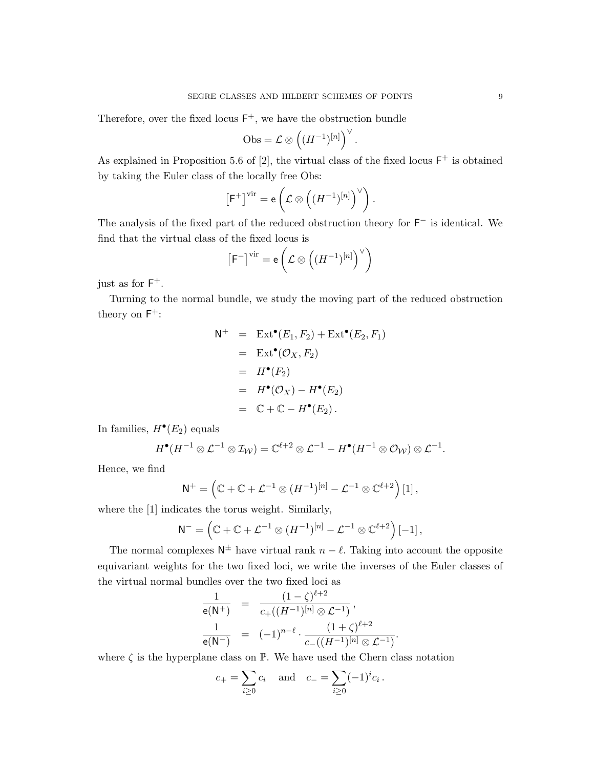Therefore, over the fixed locus  $F^+$ , we have the obstruction bundle

$$
\mathrm{Obs}=\mathcal{L}\otimes\left((H^{-1})^{[n]}\right)^\vee.
$$

As explained in Proposition 5.6 of  $[2]$ , the virtual class of the fixed locus  $F^+$  is obtained by taking the Euler class of the locally free Obs:

$$
\left[\mathsf{F}^+\right]^{\mathrm{vir}} = \mathsf{e}\left(\mathcal{L}\otimes \left((H^{-1})^{[n]}\right)^{\vee}\right).
$$

The analysis of the fixed part of the reduced obstruction theory for  $F^-$  is identical. We find that the virtual class of the fixed locus is

$$
\left[\mathsf{F}^{-}\right]^{\mathrm{vir}} = \mathsf{e}\left(\mathcal{L} \otimes \left((H^{-1})^{[n]}\right)^{\vee}\right)
$$

just as for  $F^+$ .

Turning to the normal bundle, we study the moving part of the reduced obstruction theory on  $F^+$ :

$$
N^{+} = \operatorname{Ext}^{\bullet}(E_1, F_2) + \operatorname{Ext}^{\bullet}(E_2, F_1)
$$
  
= \operatorname{Ext}^{\bullet}(\mathcal{O}\_X, F\_2)  
= H^{\bullet}(F\_2)  
= H^{\bullet}(\mathcal{O}\_X) - H^{\bullet}(E\_2)  
= \mathbb{C} + \mathbb{C} - H^{\bullet}(E\_2).

In families,  $H^{\bullet}(E_2)$  equals

$$
H^{\bullet}(H^{-1}\otimes \mathcal{L}^{-1}\otimes \mathcal{I}_{\mathcal{W}})=\mathbb{C}^{\ell+2}\otimes \mathcal{L}^{-1}-H^{\bullet}(H^{-1}\otimes \mathcal{O}_{\mathcal{W}})\otimes \mathcal{L}^{-1}.
$$

Hence, we find

$$
\mathsf{N}^+=\left(\mathbb{C}+\mathbb{C}+\mathcal{L}^{-1}\otimes(H^{-1})^{[n]}-\mathcal{L}^{-1}\otimes\mathbb{C}^{\ell+2}\right)[1],
$$

where the [1] indicates the torus weight. Similarly,

$$
\mathsf{N}^- = \left( \mathbb{C} + \mathbb{C} + \mathcal{L}^{-1} \otimes (H^{-1})^{[n]} - \mathcal{L}^{-1} \otimes \mathbb{C}^{\ell+2} \right)[-1],
$$

The normal complexes  $\mathsf{N}^{\pm}$  have virtual rank  $n - \ell$ . Taking into account the opposite equivariant weights for the two fixed loci, we write the inverses of the Euler classes of the virtual normal bundles over the two fixed loci as

$$
\frac{1}{e(N^+)} = \frac{(1-\zeta)^{\ell+2}}{c_+((H^{-1})^{[n]} \otimes \mathcal{L}^{-1})},
$$
  

$$
\frac{1}{e(N^-)} = (-1)^{n-\ell} \cdot \frac{(1+\zeta)^{\ell+2}}{c_-\left((H^{-1})^{[n]} \otimes \mathcal{L}^{-1}\right)}.
$$

where  $\zeta$  is the hyperplane class on  $\mathbb{P}$ . We have used the Chern class notation

$$
c_{+} = \sum_{i \geq 0} c_{i}
$$
 and  $c_{-} = \sum_{i \geq 0} (-1)^{i} c_{i}$ .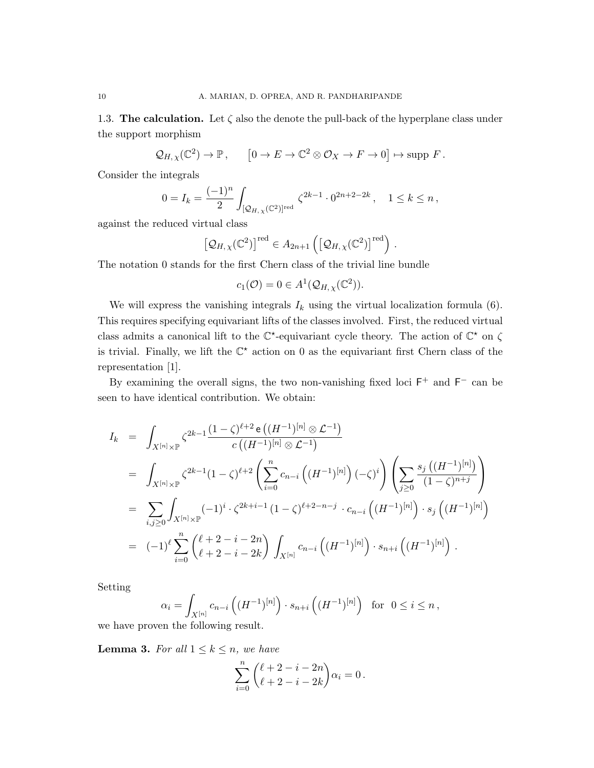1.3. The calculation. Let  $\zeta$  also the denote the pull-back of the hyperplane class under the support morphism

$$
Q_{H,\chi}(\mathbb{C}^2) \to \mathbb{P}, \qquad [0 \to E \to \mathbb{C}^2 \otimes \mathcal{O}_X \to F \to 0] \mapsto \text{supp } F.
$$

Consider the integrals

$$
0 = I_k = \frac{(-1)^n}{2} \int_{[\mathcal{Q}_{H,\chi}(\mathbb{C}^2)]^{\text{red}}} \zeta^{2k-1} \cdot 0^{2n+2-2k}, \quad 1 \le k \le n,
$$

against the reduced virtual class

$$
\left[\mathcal{Q}_{H,\chi}(\mathbb{C}^2)\right]^{\text{red}} \in A_{2n+1}\left(\left[\mathcal{Q}_{H,\chi}(\mathbb{C}^2)\right]^{\text{red}}\right).
$$

The notation 0 stands for the first Chern class of the trivial line bundle

$$
c_1(\mathcal{O}) = 0 \in A^1(\mathcal{Q}_{H,\chi}(\mathbb{C}^2)).
$$

We will express the vanishing integrals  $I_k$  using the virtual localization formula (6). This requires specifying equivariant lifts of the classes involved. First, the reduced virtual class admits a canonical lift to the  $\mathbb{C}^*$ -equivariant cycle theory. The action of  $\mathbb{C}^*$  on  $\zeta$ is trivial. Finally, we lift the  $\mathbb{C}^*$  action on 0 as the equivariant first Chern class of the representation [1].

By examining the overall signs, the two non-vanishing fixed loci  $F^+$  and  $F^-$  can be seen to have identical contribution. We obtain:

$$
I_{k} = \int_{X^{[n]}\times\mathbb{P}} \zeta^{2k-1} \frac{(1-\zeta)^{\ell+2} e((H^{-1})^{[n]} \otimes \mathcal{L}^{-1})}{c((H^{-1})^{[n]} \otimes \mathcal{L}^{-1})}
$$
  
\n
$$
= \int_{X^{[n]}\times\mathbb{P}} \zeta^{2k-1} (1-\zeta)^{\ell+2} \left( \sum_{i=0}^{n} c_{n-i} ((H^{-1})^{[n]}) (-\zeta)^{i} \right) \left( \sum_{j\geq 0} \frac{s_{j} ((H^{-1})^{[n]})}{(1-\zeta)^{n+j}} \right)
$$
  
\n
$$
= \sum_{i,j\geq 0} \int_{X^{[n]}\times\mathbb{P}} (-1)^{i} \cdot \zeta^{2k+i-1} (1-\zeta)^{\ell+2-n-j} \cdot c_{n-i} ((H^{-1})^{[n]}) \cdot s_{j} ((H^{-1})^{[n]})
$$
  
\n
$$
= (-1)^{\ell} \sum_{i=0}^{n} {\ell+2-i-2n \choose \ell+2-i-2k} \int_{X^{[n]}} c_{n-i} ((H^{-1})^{[n]}) \cdot s_{n+i} ((H^{-1})^{[n]}) .
$$

Setting

$$
\alpha_i = \int_{X^{[n]}} c_{n-i} \left( (H^{-1})^{[n]} \right) \cdot s_{n+i} \left( (H^{-1})^{[n]} \right) \text{ for } 0 \le i \le n,
$$

we have proven the following result.

**Lemma 3.** For all  $1 \leq k \leq n$ , we have

$$
\sum_{i=0}^{n} {\binom{\ell+2-i-2n}{\ell+2-i-2k}} \alpha_i = 0.
$$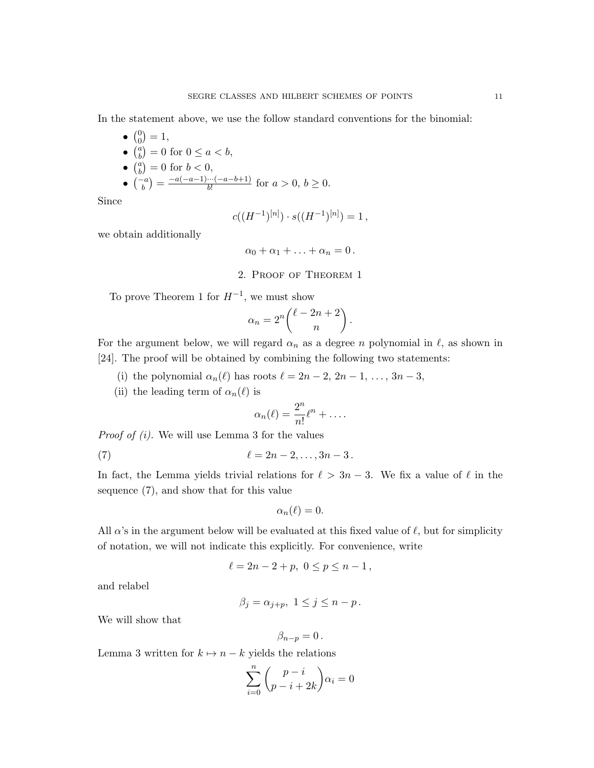In the statement above, we use the follow standard conventions for the binomial:

 $\bullet$   $\binom{0}{0}$  $\binom{0}{0} = 1,$  $\bullet$   $\begin{pmatrix} a \\ b \end{pmatrix}$  $\binom{a}{b} = 0$  for  $0 \le a < b$ ,  $\bullet$   $\binom{a}{b}$  $\binom{a}{b} = 0$  for  $b < 0$ ,  $\bullet \ \binom{-a}{b} = \frac{-a(-a-1)\cdots(-a-b+1)}{b!}$  $\frac{a^{(n-1)}-a^{(n-1)}}{b!}$  for  $a > 0, b \ge 0$ .

Since

$$
c((H^{-1})^{[n]}) \cdot s((H^{-1})^{[n]}) = 1,
$$

we obtain additionally

$$
\alpha_0 + \alpha_1 + \ldots + \alpha_n = 0 \, .
$$

2. Proof of Theorem 1

To prove Theorem 1 for  $H^{-1}$ , we must show

$$
\alpha_n = 2^n \binom{\ell - 2n + 2}{n}.
$$

For the argument below, we will regard  $\alpha_n$  as a degree n polynomial in  $\ell$ , as shown in [24]. The proof will be obtained by combining the following two statements:

- (i) the polynomial  $\alpha_n(\ell)$  has roots  $\ell = 2n 2, 2n 1, \ldots, 3n 3$ ,
- (ii) the leading term of  $\alpha_n(\ell)$  is

$$
\alpha_n(\ell) = \frac{2^n}{n!} \ell^n + \dots
$$

*Proof of (i)*. We will use Lemma 3 for the values

(7) 
$$
\ell = 2n - 2, \ldots, 3n - 3.
$$

In fact, the Lemma yields trivial relations for  $\ell > 3n - 3$ . We fix a value of  $\ell$  in the sequence (7), and show that for this value

$$
\alpha_n(\ell)=0.
$$

All  $\alpha$ 's in the argument below will be evaluated at this fixed value of  $\ell$ , but for simplicity of notation, we will not indicate this explicitly. For convenience, write

$$
\ell = 2n - 2 + p, \ 0 \le p \le n - 1,
$$

and relabel

$$
\beta_j = \alpha_{j+p}, \ 1 \le j \le n-p.
$$

We will show that

$$
\beta_{n-p}=0\,.
$$

Lemma 3 written for  $k \mapsto n - k$  yields the relations

$$
\sum_{i=0}^{n} \binom{p-i}{p-i+2k} \alpha_i = 0
$$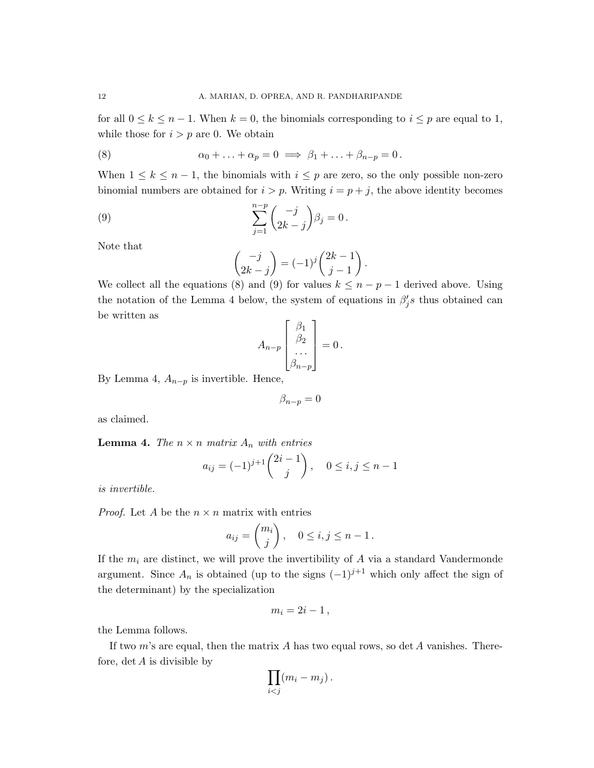for all  $0 \leq k \leq n-1$ . When  $k = 0$ , the binomials corresponding to  $i \leq p$  are equal to 1, while those for  $i > p$  are 0. We obtain

(8) 
$$
\alpha_0 + \ldots + \alpha_p = 0 \implies \beta_1 + \ldots + \beta_{n-p} = 0.
$$

When  $1 \leq k \leq n-1$ , the binomials with  $i \leq p$  are zero, so the only possible non-zero binomial numbers are obtained for  $i > p$ . Writing  $i = p + j$ , the above identity becomes

(9) 
$$
\sum_{j=1}^{n-p} \binom{-j}{2k-j} \beta_j = 0.
$$

Note that

$$
\begin{pmatrix} -j \\ 2k - j \end{pmatrix} = (-1)^j \begin{pmatrix} 2k - 1 \\ j - 1 \end{pmatrix}.
$$

We collect all the equations (8) and (9) for values  $k \leq n - p - 1$  derived above. Using the notation of the Lemma 4 below, the system of equations in  $\beta'_j s$  thus obtained can be written as

$$
A_{n-p}\begin{bmatrix} \beta_1 \\ \beta_2 \\ \dots \\ \beta_{n-p} \end{bmatrix} = 0.
$$

By Lemma 4,  $A_{n-p}$  is invertible. Hence,

$$
\beta_{n-p}=0
$$

as claimed.

**Lemma 4.** The  $n \times n$  matrix  $A_n$  with entries

$$
a_{ij} = (-1)^{j+1} {2i-1 \choose j}, \quad 0 \le i, j \le n-1
$$

is invertible.

*Proof.* Let A be the  $n \times n$  matrix with entries

$$
a_{ij} = \binom{m_i}{j}, \quad 0 \le i, j \le n - 1.
$$

If the  $m_i$  are distinct, we will prove the invertibility of  $A$  via a standard Vandermonde argument. Since  $A_n$  is obtained (up to the signs  $(-1)^{j+1}$  which only affect the sign of the determinant) by the specialization

$$
m_i=2i-1\,,
$$

the Lemma follows.

If two  $m$ 's are equal, then the matrix  $A$  has two equal rows, so det  $A$  vanishes. Therefore,  $\det A$  is divisible by

$$
\prod_{i
$$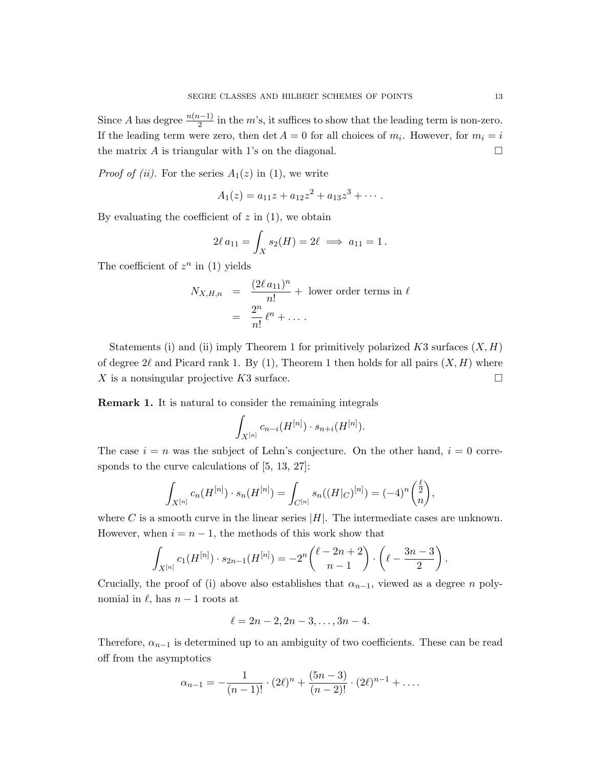Since A has degree  $\frac{n(n-1)}{2}$  in the m's, it suffices to show that the leading term is non-zero. If the leading term were zero, then  $\det A = 0$  for all choices of  $m_i$ . However, for  $m_i = i$ the matrix A is triangular with 1's on the diagonal.

*Proof of (ii)*. For the series  $A_1(z)$  in (1), we write

$$
A_1(z) = a_{11}z + a_{12}z^2 + a_{13}z^3 + \cdots
$$

By evaluating the coefficient of  $z$  in  $(1)$ , we obtain

$$
2\ell a_{11} = \int_X s_2(H) = 2\ell \implies a_{11} = 1.
$$

The coefficient of  $z^n$  in (1) yields

$$
N_{X,H,n} = \frac{(2\ell a_{11})^n}{n!} + \text{ lower order terms in } \ell
$$
  
= 
$$
\frac{2^n}{n!} \ell^n + \dots
$$

Statements (i) and (ii) imply Theorem 1 for primitively polarized  $K3$  surfaces  $(X, H)$ of degree  $2\ell$  and Picard rank 1. By (1), Theorem 1 then holds for all pairs  $(X, H)$  where X is a nonsingular projective K3 surface.

Remark 1. It is natural to consider the remaining integrals

$$
\int_{X^{[n]}} c_{n-i}(H^{[n]}) \cdot s_{n+i}(H^{[n]}).
$$

The case  $i = n$  was the subject of Lehn's conjecture. On the other hand,  $i = 0$  corresponds to the curve calculations of [5, 13, 27]:

$$
\int_{X^{[n]}} c_n(H^{[n]}) \cdot s_n(H^{[n]}) = \int_{C^{[n]}} s_n((H|_C)^{[n]}) = (-4)^n \binom{\frac{\ell}{2}}{n},
$$

where C is a smooth curve in the linear series  $|H|$ . The intermediate cases are unknown. However, when  $i = n - 1$ , the methods of this work show that

$$
\int_{X^{[n]}} c_1(H^{[n]}) \cdot s_{2n-1}(H^{[n]}) = -2^n \binom{\ell-2n+2}{n-1} \cdot \left(\ell - \frac{3n-3}{2}\right).
$$

Crucially, the proof of (i) above also establishes that  $\alpha_{n-1}$ , viewed as a degree n polynomial in  $\ell$ , has  $n - 1$  roots at

$$
\ell = 2n - 2, 2n - 3, \ldots, 3n - 4.
$$

Therefore,  $\alpha_{n-1}$  is determined up to an ambiguity of two coefficients. These can be read off from the asymptotics

$$
\alpha_{n-1} = -\frac{1}{(n-1)!} \cdot (2\ell)^n + \frac{(5n-3)}{(n-2)!} \cdot (2\ell)^{n-1} + \dots
$$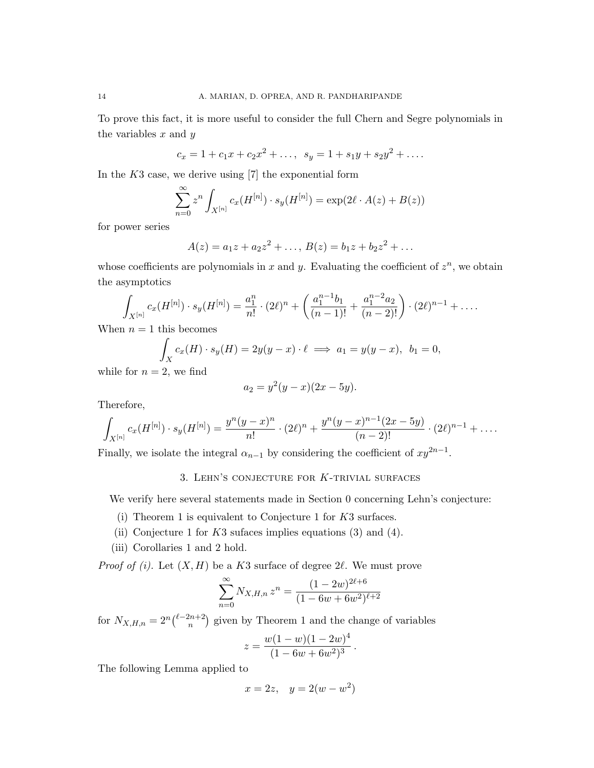To prove this fact, it is more useful to consider the full Chern and Segre polynomials in the variables  $x$  and  $y$ 

$$
c_x = 1 + c_1 x + c_2 x^2 + \dots, \ \ s_y = 1 + s_1 y + s_2 y^2 + \dots
$$

In the  $K3$  case, we derive using [7] the exponential form

$$
\sum_{n=0}^{\infty} z^n \int_{X^{[n]}} c_x(H^{[n]}) \cdot s_y(H^{[n]}) = \exp(2\ell \cdot A(z) + B(z))
$$

for power series

$$
A(z) = a_1 z + a_2 z^2 + \dots, B(z) = b_1 z + b_2 z^2 + \dots
$$

whose coefficients are polynomials in x and y. Evaluating the coefficient of  $z^n$ , we obtain the asymptotics

$$
\int_{X^{[n]}} c_x(H^{[n]}) \cdot s_y(H^{[n]}) = \frac{a_1^n}{n!} \cdot (2\ell)^n + \left(\frac{a_1^{n-1}b_1}{(n-1)!} + \frac{a_1^{n-2}a_2}{(n-2)!}\right) \cdot (2\ell)^{n-1} + \dots
$$

When  $n = 1$  this becomes

$$
\int_X c_x(H) \cdot s_y(H) = 2y(y-x) \cdot \ell \implies a_1 = y(y-x), \ \ b_1 = 0,
$$

while for  $n = 2$ , we find

$$
a_2 = y^2(y - x)(2x - 5y).
$$

Therefore,

$$
\int_{X^{[n]}} c_x(H^{[n]}) \cdot s_y(H^{[n]}) = \frac{y^n(y-x)^n}{n!} \cdot (2\ell)^n + \frac{y^n(y-x)^{n-1}(2x-5y)}{(n-2)!} \cdot (2\ell)^{n-1} + \dots
$$

Finally, we isolate the integral  $\alpha_{n-1}$  by considering the coefficient of  $xy^{2n-1}$ .

# 3. LEHN'S CONJECTURE FOR  $K$ -TRIVIAL SURFACES

We verify here several statements made in Section 0 concerning Lehn's conjecture:

- (i) Theorem 1 is equivalent to Conjecture 1 for K3 surfaces.
- (ii) Conjecture 1 for  $K3$  sufaces implies equations (3) and (4).
- (iii) Corollaries 1 and 2 hold.

*Proof of (i).* Let  $(X, H)$  be a K3 surface of degree 2 $\ell$ . We must prove

$$
\sum_{n=0}^{\infty} N_{X,H,n} z^n = \frac{(1 - 2w)^{2\ell + 6}}{(1 - 6w + 6w^2)^{\ell + 2}}
$$

for  $N_{X,H,n} = 2^n \binom{\ell - 2n + 2}{n}$  $\binom{2n+2}{n}$  given by Theorem 1 and the change of variables

$$
z = \frac{w(1-w)(1-2w)^4}{(1-6w+6w^2)^3}.
$$

The following Lemma applied to

$$
x = 2z, \quad y = 2(w - w^2)
$$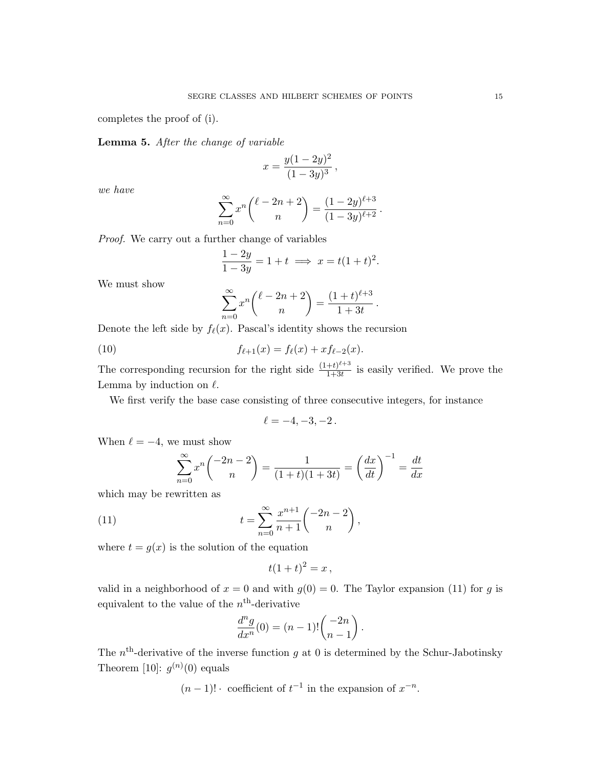completes the proof of (i).

Lemma 5. After the change of variable

$$
x = \frac{y(1-2y)^2}{(1-3y)^3},
$$

we have

$$
\sum_{n=0}^{\infty} x^n {\ell - 2n + 2 \choose n} = \frac{(1 - 2y)^{\ell+3}}{(1 - 3y)^{\ell+2}}.
$$

Proof. We carry out a further change of variables

$$
\frac{1-2y}{1-3y} = 1 + t \implies x = t(1+t)^2.
$$

We must show

$$
\sum_{n=0}^{\infty} x^n {\ell - 2n + 2 \choose n} = \frac{(1+t)^{\ell+3}}{1+3t}.
$$

Denote the left side by  $f_{\ell}(x)$ . Pascal's identity shows the recursion

(10) 
$$
f_{\ell+1}(x) = f_{\ell}(x) + x f_{\ell-2}(x).
$$

The corresponding recursion for the right side  $\frac{(1+t)^{\ell+3}}{1+3t}$  $\frac{+t}{1+3t}$  is easily verified. We prove the Lemma by induction on  $\ell$ .

We first verify the base case consisting of three consecutive integers, for instance

$$
\ell = -4, -3, -2 \, .
$$

When  $\ell = -4$ , we must show

$$
\sum_{n=0}^{\infty} x^n \binom{-2n-2}{n} = \frac{1}{(1+t)(1+3t)} = \left(\frac{dx}{dt}\right)^{-1} = \frac{dt}{dx}
$$

which may be rewritten as

(11) 
$$
t = \sum_{n=0}^{\infty} \frac{x^{n+1}}{n+1} \binom{-2n-2}{n},
$$

where  $t = g(x)$  is the solution of the equation

$$
t(1+t)^2 = x,
$$

valid in a neighborhood of  $x = 0$  and with  $g(0) = 0$ . The Taylor expansion (11) for g is equivalent to the value of the  $n<sup>th</sup>$ -derivative

$$
\frac{d^n g}{dx^n}(0) = (n-1)! \binom{-2n}{n-1}.
$$

The  $n<sup>th</sup>$ -derivative of the inverse function g at 0 is determined by the Schur-Jabotinsky Theorem [10]:  $g^{(n)}(0)$  equals

 $(n-1)!$  · coefficient of  $t^{-1}$  in the expansion of  $x^{-n}$ .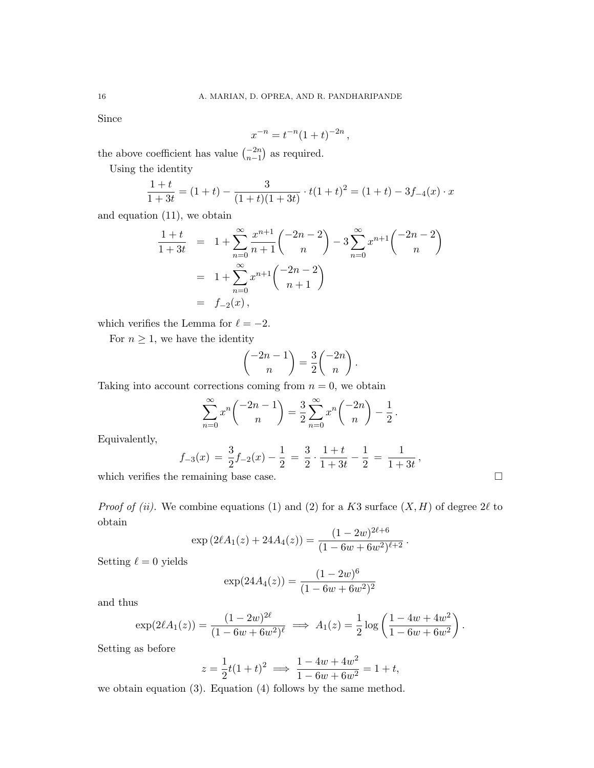Since

$$
x^{-n} = t^{-n}(1+t)^{-2n},
$$

the above coefficient has value  $\binom{-2n}{n-1}$  as required.

Using the identity

$$
\frac{1+t}{1+3t} = (1+t) - \frac{3}{(1+t)(1+3t)} \cdot t(1+t)^2 = (1+t) - 3f_{-4}(x) \cdot x
$$

and equation (11), we obtain

$$
\frac{1+t}{1+3t} = 1 + \sum_{n=0}^{\infty} \frac{x^{n+1}}{n+1} \binom{-2n-2}{n} - 3 \sum_{n=0}^{\infty} x^{n+1} \binom{-2n-2}{n}
$$

$$
= 1 + \sum_{n=0}^{\infty} x^{n+1} \binom{-2n-2}{n+1}
$$

$$
= f_{-2}(x),
$$

which verifies the Lemma for  $\ell = -2$ .

For  $n \geq 1$ , we have the identity

$$
\binom{-2n-1}{n} = \frac{3}{2} \binom{-2n}{n}.
$$

Taking into account corrections coming from  $n = 0$ , we obtain

$$
\sum_{n=0}^{\infty} x^n \binom{-2n-1}{n} = \frac{3}{2} \sum_{n=0}^{\infty} x^n \binom{-2n}{n} - \frac{1}{2}.
$$

Equivalently,

$$
f_{-3}(x) = \frac{3}{2}f_{-2}(x) - \frac{1}{2} = \frac{3}{2} \cdot \frac{1+t}{1+3t} - \frac{1}{2} = \frac{1}{1+3t},
$$

which verifies the remaining base case.

*Proof of (ii).* We combine equations (1) and (2) for a K3 surface  $(X, H)$  of degree  $2\ell$  to obtain  $\overline{a}$ 

$$
\exp(2\ell A_1(z) + 24A_4(z)) = \frac{(1-2w)^{2\ell+6}}{(1-6w+6w^2)^{\ell+2}}.
$$

Setting  $\ell = 0$  yields

$$
\exp(24A_4(z)) = \frac{(1-2w)^6}{(1-6w+6w^2)^2}
$$

and thus

$$
\exp(2\ell A_1(z)) = \frac{(1-2w)^{2\ell}}{(1-6w+6w^2)^{\ell}} \implies A_1(z) = \frac{1}{2}\log\left(\frac{1-4w+4w^2}{1-6w+6w^2}\right).
$$

Setting as before

$$
z = \frac{1}{2}t(1+t)^2 \implies \frac{1-4w+4w^2}{1-6w+6w^2} = 1+t,
$$

we obtain equation (3). Equation (4) follows by the same method.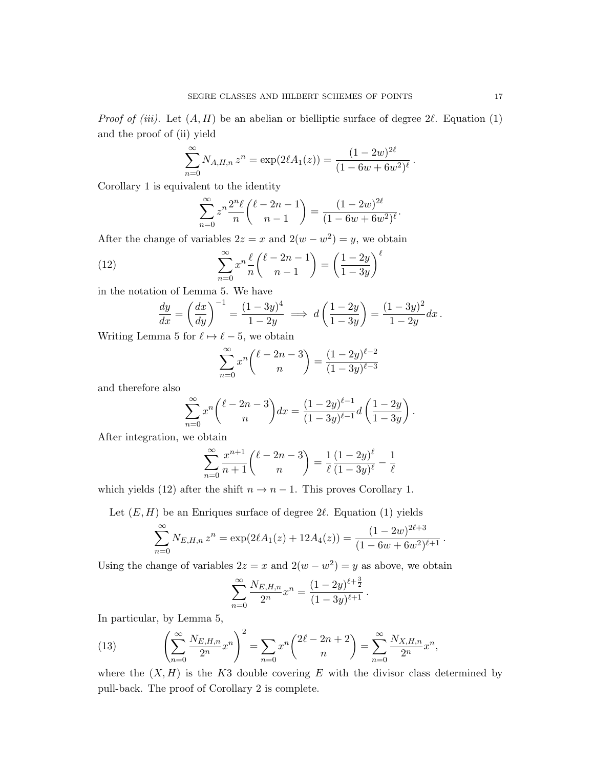*Proof of (iii).* Let  $(A, H)$  be an abelian or bielliptic surface of degree  $2\ell$ . Equation (1) and the proof of (ii) yield

$$
\sum_{n=0}^{\infty} N_{A,H,n} z^n = \exp(2\ell A_1(z)) = \frac{(1 - 2w)^{2\ell}}{(1 - 6w + 6w^2)^{\ell}}
$$

Corollary 1 is equivalent to the identity

$$
\sum_{n=0}^{\infty} z^n \frac{2^n \ell}{n} {\ell - 2n - 1 \choose n-1} = \frac{(1 - 2w)^{2\ell}}{(1 - 6w + 6w^2)^{\ell}}.
$$

After the change of variables  $2z = x$  and  $2(w - w^2) = y$ , we obtain

(12) 
$$
\sum_{n=0}^{\infty} x^n \frac{\ell}{n} {\ell-2n-1 \choose n-1} = \left(\frac{1-2y}{1-3y}\right)^{\ell}
$$

in the notation of Lemma 5. We have

$$
\frac{dy}{dx} = \left(\frac{dx}{dy}\right)^{-1} = \frac{(1-3y)^4}{1-2y} \implies d\left(\frac{1-2y}{1-3y}\right) = \frac{(1-3y)^2}{1-2y}dx.
$$

Writing Lemma 5 for  $\ell \mapsto \ell - 5$ , we obtain

$$
\sum_{n=0}^{\infty} x^n \binom{\ell - 2n - 3}{n} = \frac{(1 - 2y)^{\ell - 2}}{(1 - 3y)^{\ell - 3}}
$$

and therefore also

$$
\sum_{n=0}^{\infty} x^n \binom{\ell-2n-3}{n} dx = \frac{(1-2y)^{\ell-1}}{(1-3y)^{\ell-1}} d\left(\frac{1-2y}{1-3y}\right).
$$

After integration, we obtain

$$
\sum_{n=0}^{\infty} \frac{x^{n+1}}{n+1} {\binom{\ell-2n-3}{n}} = \frac{1}{\ell} \frac{(1-2y)^{\ell}}{(1-3y)^{\ell}} - \frac{1}{\ell}
$$

which yields (12) after the shift  $n \to n-1$ . This proves Corollary 1.

Let  $(E, H)$  be an Enriques surface of degree 2 $\ell$ . Equation (1) yields

$$
\sum_{n=0}^{\infty} N_{E,H,n} z^n = \exp(2\ell A_1(z) + 12A_4(z)) = \frac{(1-2w)^{2\ell+3}}{(1-6w+6w^2)^{\ell+1}}.
$$

Using the change of variables  $2z = x$  and  $2(w - w^2) = y$  as above, we obtain

$$
\sum_{n=0}^{\infty} \frac{N_{E,H,n}}{2^n} x^n = \frac{(1-2y)^{\ell + \frac{3}{2}}}{(1-3y)^{\ell + 1}}.
$$

In particular, by Lemma 5,

(13) 
$$
\left(\sum_{n=0}^{\infty} \frac{N_{E,H,n}}{2^n} x^n\right)^2 = \sum_{n=0}^{\infty} x^n \left(\frac{2\ell - 2n + 2}{n}\right) = \sum_{n=0}^{\infty} \frac{N_{X,H,n}}{2^n} x^n,
$$

where the  $(X, H)$  is the K3 double covering E with the divisor class determined by pull-back. The proof of Corollary 2 is complete.

.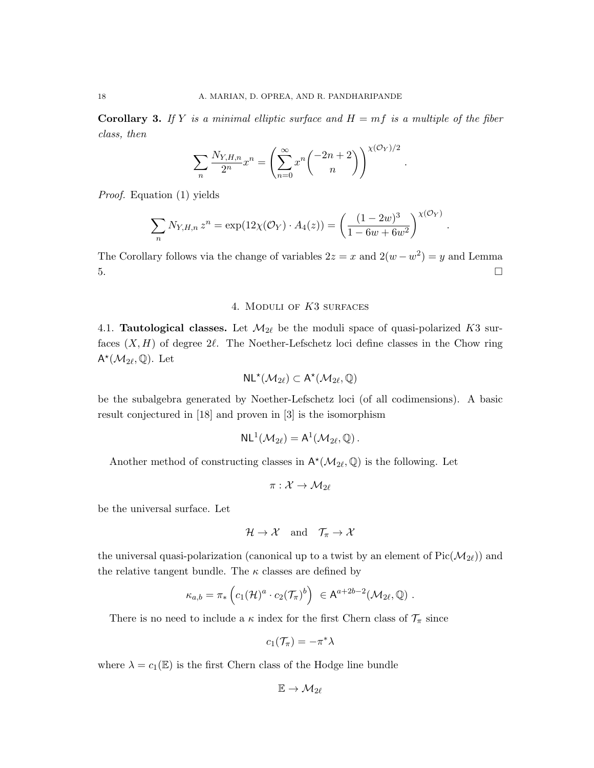**Corollary 3.** If Y is a minimal elliptic surface and  $H = mf$  is a multiple of the fiber class, then

$$
\sum_{n} \frac{N_{Y,H,n}}{2^n} x^n = \left(\sum_{n=0}^{\infty} x^n \binom{-2n+2}{n}\right)^{\chi(\mathcal{O}_Y)/2}
$$

.

.

Proof. Equation (1) yields

$$
\sum_{n} N_{Y,H,n} z^{n} = \exp(12\chi(\mathcal{O}_{Y}) \cdot A_{4}(z)) = \left(\frac{(1-2w)^{3}}{1-6w+6w^{2}}\right)^{\chi(\mathcal{O}_{Y})}
$$

The Corollary follows via the change of variables  $2z = x$  and  $2(w - w^2) = y$  and Lemma  $5.$ 

## 4. Moduli of K3 surfaces

4.1. **Tautological classes.** Let  $\mathcal{M}_{2\ell}$  be the moduli space of quasi-polarized K3 surfaces  $(X, H)$  of degree  $2\ell$ . The Noether-Lefschetz loci define classes in the Chow ring  $\mathsf{A}^{\star}(\mathcal{M}_{2\ell},\mathbb{Q})$ . Let

$$
\mathsf{NL}^\star(\mathcal{M}_{2\ell}) \subset \mathsf{A}^\star(\mathcal{M}_{2\ell},\mathbb{Q})
$$

be the subalgebra generated by Noether-Lefschetz loci (of all codimensions). A basic result conjectured in [18] and proven in [3] is the isomorphism

$$
\mathsf{NL}^1(\mathcal{M}_{2\ell}) = \mathsf{A}^1(\mathcal{M}_{2\ell}, \mathbb{Q})\,.
$$

Another method of constructing classes in  $\mathsf{A}^{\star}(\mathcal{M}_{2\ell}, \mathbb{Q})$  is the following. Let

$$
\pi: \mathcal{X} \rightarrow \mathcal{M}_{2\ell}
$$

be the universal surface. Let

$$
\mathcal{H} \to \mathcal{X} \quad \text{and} \quad \mathcal{T}_{\pi} \to \mathcal{X}
$$

the universal quasi-polarization (canonical up to a twist by an element of  $Pic(\mathcal{M}_{2\ell})$ ) and the relative tangent bundle. The  $\kappa$  classes are defined by

$$
\kappa_{a,b} = \pi_* \left( c_1(\mathcal{H})^a \cdot c_2(\mathcal{T}_{\pi})^b \right) \in A^{a+2b-2}(\mathcal{M}_{2\ell}, \mathbb{Q}) .
$$

There is no need to include a  $\kappa$  index for the first Chern class of  $\mathcal{T}_{\pi}$  since

$$
c_1(\mathcal{T}_\pi)=-\pi^*\lambda
$$

where  $\lambda = c_1(\mathbb{E})$  is the first Chern class of the Hodge line bundle

$$
\mathbb{E} \to \mathcal{M}_{2\ell}
$$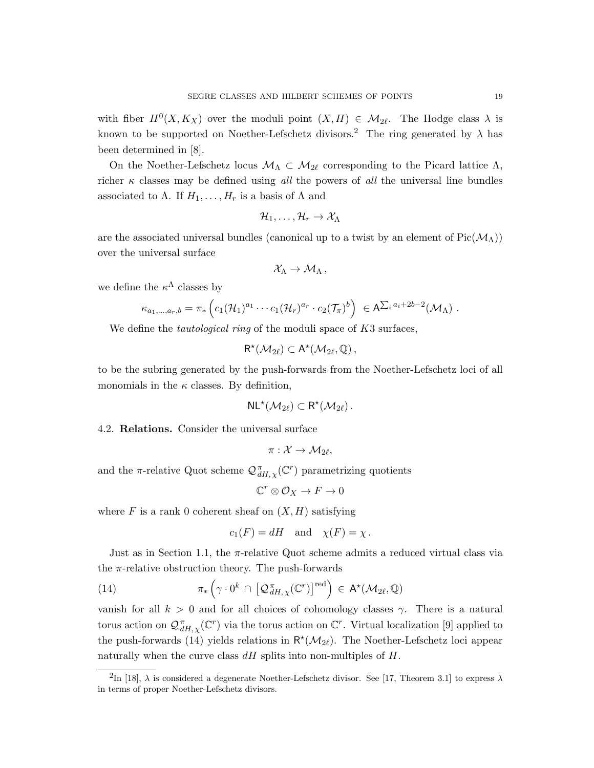with fiber  $H^0(X, K_X)$  over the moduli point  $(X, H) \in \mathcal{M}_{2\ell}$ . The Hodge class  $\lambda$  is known to be supported on Noether-Lefschetz divisors.<sup>2</sup> The ring generated by  $\lambda$  has been determined in [8].

On the Noether-Lefschetz locus  $\mathcal{M}_{\Lambda} \subset \mathcal{M}_{2\ell}$  corresponding to the Picard lattice  $\Lambda$ , richer  $\kappa$  classes may be defined using all the powers of all the universal line bundles associated to  $\Lambda$ . If  $H_1, \ldots, H_r$  is a basis of  $\Lambda$  and

$$
\mathcal{H}_1,\ldots,\mathcal{H}_r\to\mathcal{X}_\Lambda
$$

are the associated universal bundles (canonical up to a twist by an element of  $Pic(\mathcal{M}_{\Lambda}))$ over the universal surface

$$
\mathcal{X}_\Lambda \to \mathcal{M}_\Lambda\,,
$$

we define the  $\kappa^{\Lambda}$  classes by

$$
\kappa_{a_1,\ldots,a_r,b} = \pi_* \left( c_1(\mathcal{H}_1)^{a_1} \cdots c_1(\mathcal{H}_r)^{a_r} \cdot c_2(\mathcal{T}_{\pi})^b \right) \in A^{\sum_i a_i + 2b - 2}(\mathcal{M}_{\Lambda}).
$$

We define the *tautological ring* of the moduli space of K3 surfaces,

$$
R^\star({\mathcal{M}}_{2\ell})\subset A^\star({\mathcal{M}}_{2\ell}, {\mathbb{Q}})\,,
$$

to be the subring generated by the push-forwards from the Noether-Lefschetz loci of all monomials in the  $\kappa$  classes. By definition,

$$
\mathsf{NL}^\star(\mathcal{M}_{2\ell}) \subset \mathsf{R}^\star(\mathcal{M}_{2\ell})\,.
$$

#### 4.2. Relations. Consider the universal surface

$$
\pi: \mathcal{X} \rightarrow \mathcal{M}_{2\ell},
$$

and the  $\pi$ -relative Quot scheme  $\mathcal{Q}_{dH,\chi}^{\pi}(\mathbb{C}^r)$  parametrizing quotients

$$
\mathbb{C}^r\otimes\mathcal{O}_X\to F\to 0
$$

where  $F$  is a rank 0 coherent sheaf on  $(X, H)$  satisfying

$$
c_1(F) = dH
$$
 and  $\chi(F) = \chi$ .

Just as in Section 1.1, the  $\pi$ -relative Quot scheme admits a reduced virtual class via the  $\pi$ -relative obstruction theory. The push-forwards

(14) 
$$
\pi_* \left( \gamma \cdot 0^k \cap \left[ \mathcal{Q}_{dH,\chi}^{\pi}(\mathbb{C}^r) \right]^{red} \right) \in A^*(\mathcal{M}_{2\ell}, \mathbb{Q})
$$

vanish for all  $k > 0$  and for all choices of cohomology classes  $\gamma$ . There is a natural torus action on  $\mathcal{Q}_{dH,\chi}^{\pi}(\mathbb{C}^r)$  via the torus action on  $\mathbb{C}^r$ . Virtual localization [9] applied to the push-forwards (14) yields relations in  $\mathsf{R}^*(\mathcal{M}_{2\ell})$ . The Noether-Lefschetz loci appear naturally when the curve class  $dH$  splits into non-multiples of  $H$ .

<sup>&</sup>lt;sup>2</sup>In [18],  $\lambda$  is considered a degenerate Noether-Lefschetz divisor. See [17, Theorem 3.1] to express  $\lambda$ in terms of proper Noether-Lefschetz divisors.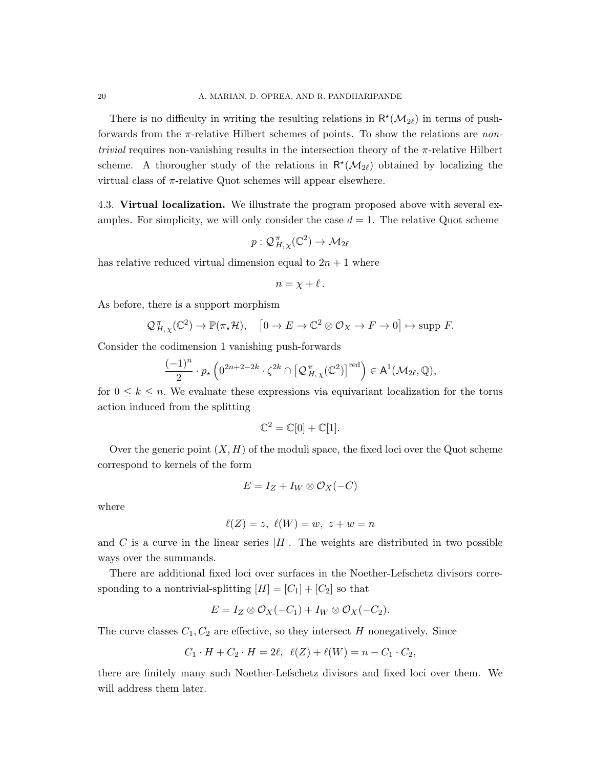There is no difficulty in writing the resulting relations in  $R^*(\mathcal{M}_{2\ell})$  in terms of pushforwards from the  $\pi$ -relative Hilbert schemes of points. To show the relations are non*trivial* requires non-vanishing results in the intersection theory of the  $\pi$ -relative Hilbert scheme. A thorougher study of the relations in  $R^*(\mathcal{M}_{2\ell})$  obtained by localizing the virtual class of  $\pi$ -relative Quot schemes will appear elsewhere.

4.3. Virtual localization. We illustrate the program proposed above with several examples. For simplicity, we will only consider the case  $d = 1$ . The relative Quot scheme

$$
p: \mathcal{Q}_{H,\chi}^{\pi}(\mathbb{C}^2) \to \mathcal{M}_{2\ell}
$$

has relative reduced virtual dimension equal to  $2n + 1$  where

$$
n=\chi+\ell.
$$

As before, there is a support morphism

$$
\mathcal{Q}_{H,\chi}^{\pi}(\mathbb{C}^2) \to \mathbb{P}(\pi_*\mathcal{H}), \quad [0 \to E \to \mathbb{C}^2 \otimes \mathcal{O}_X \to F \to 0] \mapsto \text{supp } F.
$$

Consider the codimension 1 vanishing push-forwards

$$
\frac{(-1)^n}{2} \cdot p_{\star} \left( 0^{2n+2-2k} \cdot \zeta^{2k} \cap \left[ \mathcal{Q}_{H,\,\chi}^{\pi}(\mathbb{C}^2) \right]^{red} \right) \in \mathsf{A}^1(\mathcal{M}_{2\ell},\mathbb{Q}),
$$

for  $0 \leq k \leq n$ . We evaluate these expressions via equivariant localization for the torus action induced from the splitting

$$
\mathbb{C}^2 = \mathbb{C}[0] + \mathbb{C}[1].
$$

Over the generic point  $(X, H)$  of the moduli space, the fixed loci over the Quot scheme correspond to kernels of the form

$$
E = I_Z + I_W \otimes \mathcal{O}_X(-C)
$$

where

$$
\ell(Z) = z, \ \ell(W) = w, \ z + w = n
$$

and C is a curve in the linear series  $|H|$ . The weights are distributed in two possible ways over the summands.

There are additional fixed loci over surfaces in the Noether-Lefschetz divisors corresponding to a nontrivial-splitting  $[H] = [C_1] + [C_2]$  so that

$$
E = I_Z \otimes \mathcal{O}_X(-C_1) + I_W \otimes \mathcal{O}_X(-C_2).
$$

The curve classes  $C_1, C_2$  are effective, so they intersect H nonegatively. Since

$$
C_1 \cdot H + C_2 \cdot H = 2\ell, \ \ell(Z) + \ell(W) = n - C_1 \cdot C_2,
$$

there are finitely many such Noether-Lefschetz divisors and fixed loci over them. We will address them later.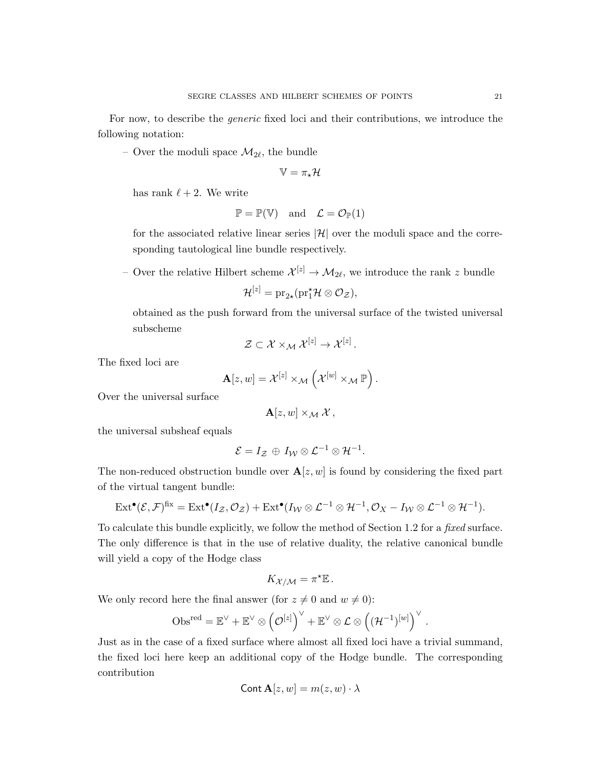For now, to describe the generic fixed loci and their contributions, we introduce the following notation:

– Over the moduli space  $\mathcal{M}_{2\ell}$ , the bundle

$$
\mathbb{V} = \pi_\star \mathcal{H}
$$

has rank  $\ell + 2$ . We write

$$
\mathbb{P} = \mathbb{P}(\mathbb{V}) \quad \text{and} \quad \mathcal{L} = \mathcal{O}_{\mathbb{P}}(1)
$$

for the associated relative linear series  $|\mathcal{H}|$  over the moduli space and the corresponding tautological line bundle respectively.

– Over the relative Hilbert scheme  $\mathcal{X}^{[z]} \to \mathcal{M}_{2\ell}$ , we introduce the rank z bundle

$$
\mathcal{H}^{[z]} = \mathrm{pr}_{2\star}(\mathrm{pr}_1^{\star}\mathcal{H} \otimes \mathcal{O}_{\mathcal{Z}}),
$$

obtained as the push forward from the universal surface of the twisted universal subscheme

$$
\mathcal{Z}\subset \mathcal{X}\times_{\mathcal{M}}\mathcal{X}^{[z]}\rightarrow \mathcal{X}^{[z]} \, .
$$

The fixed loci are

$$
\mathbf{A}[z,w] = \mathcal{X}^{[z]} \times_{\mathcal{M}} \left( \mathcal{X}^{[w]} \times_{\mathcal{M}} \mathbb{P} \right).
$$

Over the universal surface

$$
\mathbf{A}[z,w]\times_{\mathcal{M}}\mathcal{X},
$$

the universal subsheaf equals

$$
\mathcal{E}=I_{\mathcal{Z}}\,\oplus\,I_{\mathcal{W}}\otimes\mathcal{L}^{-1}\otimes\mathcal{H}^{-1}.
$$

The non-reduced obstruction bundle over  $\mathbf{A}[z, w]$  is found by considering the fixed part of the virtual tangent bundle:

$$
\operatorname{Ext}^{\bullet}(\mathcal{E},\mathcal{F})^{\operatorname{fix}} = \operatorname{Ext}^{\bullet}(I_{\mathcal{Z}},\mathcal{O}_{\mathcal{Z}}) + \operatorname{Ext}^{\bullet}(I_{\mathcal{W}} \otimes \mathcal{L}^{-1} \otimes \mathcal{H}^{-1},\mathcal{O}_{X} - I_{\mathcal{W}} \otimes \mathcal{L}^{-1} \otimes \mathcal{H}^{-1}).
$$

To calculate this bundle explicitly, we follow the method of Section 1.2 for a fixed surface. The only difference is that in the use of relative duality, the relative canonical bundle will yield a copy of the Hodge class

$$
K_{\mathcal{X}/\mathcal{M}} = \pi^{\star} \mathbb{E} \, .
$$

We only record here the final answer (for  $z \neq 0$  and  $w \neq 0$ ):

$$
\mathrm{Obs}^{\mathrm{red}} = \mathbb{E}^{\vee} + \mathbb{E}^{\vee} \otimes \left( \mathcal{O}^{[z]}\right)^{\vee} + \mathbb{E}^{\vee} \otimes \mathcal{L} \otimes \left((\mathcal{H}^{-1})^{[w]}\right)^{\vee} \, .
$$

Just as in the case of a fixed surface where almost all fixed loci have a trivial summand, the fixed loci here keep an additional copy of the Hodge bundle. The corresponding contribution

$$
Cont \mathbf{A}[z, w] = m(z, w) \cdot \lambda
$$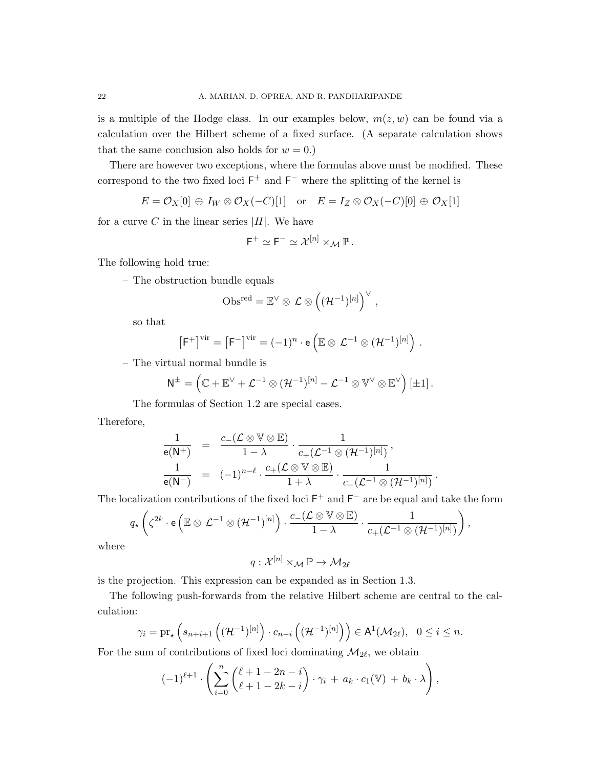is a multiple of the Hodge class. In our examples below,  $m(z, w)$  can be found via a calculation over the Hilbert scheme of a fixed surface. (A separate calculation shows that the same conclusion also holds for  $w = 0$ .)

There are however two exceptions, where the formulas above must be modified. These correspond to the two fixed loci  $F^+$  and  $F^-$  where the splitting of the kernel is

 $E = \mathcal{O}_X[0] \oplus I_W \otimes \mathcal{O}_X(-C)[1]$  or  $E = I_Z \otimes \mathcal{O}_X(-C)[0] \oplus \mathcal{O}_X[1]$ 

for a curve C in the linear series  $|H|$ . We have

$$
\mathsf{F}^+\simeq \mathsf{F}^-\simeq \mathcal{X}^{[n]}\times_{\mathcal{M}}\mathbb{P}.
$$

The following hold true:

– The obstruction bundle equals

$$
\text{Obs}^{\text{red}} = \mathbb{E}^{\vee} \otimes \mathcal{L} \otimes \left( (\mathcal{H}^{-1})^{[n]}\right)^{\vee},
$$

so that

$$
\left[F^+\right]^{\mathrm{vir}}=\left[F^-\right]^{\mathrm{vir}}=(-1)^n\cdot\mathsf{e}\left(\mathbb{E}\otimes\mathcal{L}^{-1}\otimes(\mathcal{H}^{-1})^{[n]}\right)\,.
$$

– The virtual normal bundle is

$$
N^{\pm} = \left( \mathbb{C} + \mathbb{E}^{\vee} + \mathcal{L}^{-1} \otimes (\mathcal{H}^{-1})^{[n]} - \mathcal{L}^{-1} \otimes V^{\vee} \otimes \mathbb{E}^{\vee} \right)[\pm 1] \,.
$$

The formulas of Section 1.2 are special cases.

Therefore,

$$
\begin{array}{lcl} \displaystyle \frac{1}{\mathsf{e}(\mathsf{N}^+)} & = & \displaystyle \frac{c_-(\mathcal{L} \otimes \mathbb{V} \otimes \mathbb{E})}{1-\lambda} \cdot \frac{1}{c_+(\mathcal{L}^{-1} \otimes (\mathcal{H}^{-1})^{[n]})} \, , \\ \displaystyle \frac{1}{\mathsf{e}(\mathsf{N}^-)} & = & (-1)^{n-\ell} \cdot \frac{c_+(\mathcal{L} \otimes \mathbb{V} \otimes \mathbb{E})}{1+\lambda} \cdot \frac{1}{c_-(\mathcal{L}^{-1} \otimes (\mathcal{H}^{-1})^{[n]})} \, . \end{array}
$$

The localization contributions of the fixed loci  $F^+$  and  $F^-$  are be equal and take the form

$$
q_{\star}\left(\zeta^{2k}\cdot\mathbf{e}\left(\mathbb{E}\otimes\mathcal{L}^{-1}\otimes(\mathcal{H}^{-1})^{[n]}\right)\cdot\frac{c_{-}(\mathcal{L}\otimes\mathbb{V}\otimes\mathbb{E})}{1-\lambda}\cdot\frac{1}{c_{+}(\mathcal{L}^{-1}\otimes(\mathcal{H}^{-1})^{[n]})}\right)
$$

,

where

$$
q:\mathcal{X}^{[n]}\times_{\mathcal{M}}\mathbb{P}\rightarrow \mathcal{M}_{2\ell}
$$

is the projection. This expression can be expanded as in Section 1.3.

The following push-forwards from the relative Hilbert scheme are central to the calculation:

$$
\gamma_i = \mathrm{pr}_{\star} \left( s_{n+i+1} \left( (\mathcal{H}^{-1})^{[n]} \right) \cdot c_{n-i} \left( (\mathcal{H}^{-1})^{[n]} \right) \right) \in \mathsf{A}^1(\mathcal{M}_{2\ell}), \ \ 0 \leq i \leq n.
$$

For the sum of contributions of fixed loci dominating  $\mathcal{M}_{2\ell}$ , we obtain

$$
(-1)^{\ell+1} \cdot \left( \sum_{i=0}^n \binom{\ell+1-2n-i}{\ell+1-2k-i} \cdot \gamma_i + a_k \cdot c_1(\mathbb{V}) + b_k \cdot \lambda \right),
$$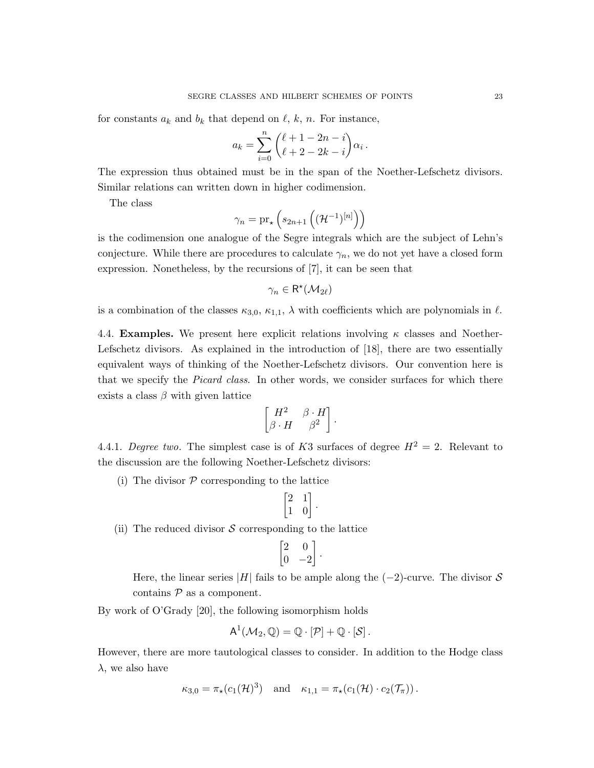for constants  $a_k$  and  $b_k$  that depend on  $\ell$ , k, n. For instance,

$$
a_k = \sum_{i=0}^n {\ell + 1 - 2n - i \choose \ell + 2 - 2k - i} \alpha_i.
$$

The expression thus obtained must be in the span of the Noether-Lefschetz divisors. Similar relations can written down in higher codimension.

The class

$$
\gamma_n = \mathrm{pr}_{\star}\left(s_{2n+1}\left((\mathcal{H}^{-1})^{[n]}\right)\right)
$$

is the codimension one analogue of the Segre integrals which are the subject of Lehn's conjecture. While there are procedures to calculate  $\gamma_n$ , we do not yet have a closed form expression. Nonetheless, by the recursions of [7], it can be seen that

$$
\gamma_n\in\mathsf{R}^\star(\mathcal{M}_{2\ell})
$$

is a combination of the classes  $\kappa_{3,0}, \kappa_{1,1}, \lambda$  with coefficients which are polynomials in  $\ell$ .

4.4. **Examples.** We present here explicit relations involving  $\kappa$  classes and Noether-Lefschetz divisors. As explained in the introduction of [18], there are two essentially equivalent ways of thinking of the Noether-Lefschetz divisors. Our convention here is that we specify the Picard class. In other words, we consider surfaces for which there exists a class  $\beta$  with given lattice

$$
\begin{bmatrix} H^2 & \beta \cdot H \\ \beta \cdot H & \beta^2 \end{bmatrix}.
$$

4.4.1. Degree two. The simplest case is of K3 surfaces of degree  $H^2 = 2$ . Relevant to the discussion are the following Noether-Lefschetz divisors:

(i) The divisor  $P$  corresponding to the lattice

$$
\begin{bmatrix} 2 & 1 \\ 1 & 0 \end{bmatrix}.
$$

(ii) The reduced divisor  $\mathcal S$  corresponding to the lattice

$$
\begin{bmatrix} 2 & 0 \\ 0 & -2 \end{bmatrix}.
$$

Here, the linear series |H| fails to be ample along the  $(-2)$ -curve. The divisor S contains  $P$  as a component.

By work of O'Grady [20], the following isomorphism holds

$$
A^1(\mathcal{M}_2,\mathbb{Q})=\mathbb{Q}\cdot[\mathcal{P}]+\mathbb{Q}\cdot[\mathcal{S}].
$$

However, there are more tautological classes to consider. In addition to the Hodge class  $\lambda$ , we also have

$$
\kappa_{3,0} = \pi_\star (c_1(\mathcal{H})^3) \quad \text{and} \quad \kappa_{1,1} = \pi_\star (c_1(\mathcal{H}) \cdot c_2(\mathcal{T}_\pi)).
$$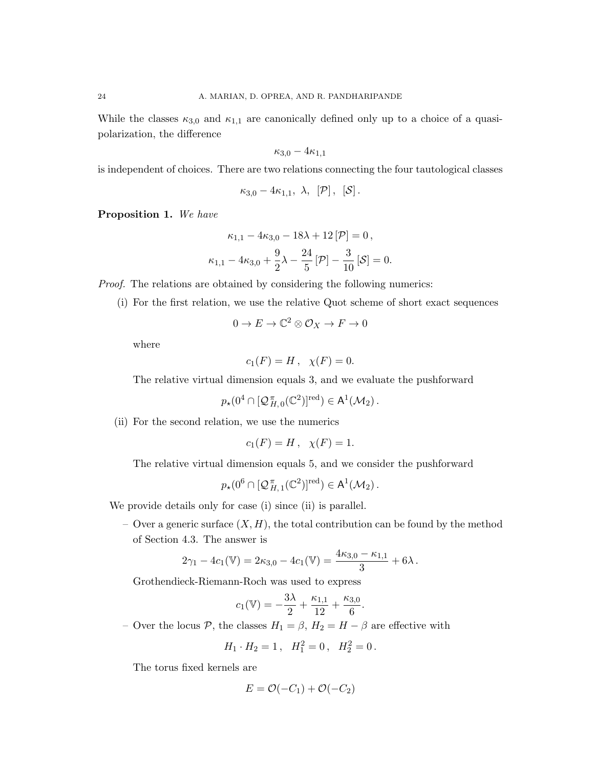While the classes  $\kappa_{3,0}$  and  $\kappa_{1,1}$  are canonically defined only up to a choice of a quasipolarization, the difference

$$
\kappa_{3,0} - 4\kappa_{1,1}
$$

is independent of choices. There are two relations connecting the four tautological classes

$$
\kappa_{3,0}-4\kappa_{1,1},\ \lambda,\ \left[\mathcal{P}\right],\ \left[\mathcal{S}\right].
$$

Proposition 1. We have

$$
\kappa_{1,1} - 4\kappa_{3,0} - 18\lambda + 12[\mathcal{P}] = 0,
$$
  

$$
\kappa_{1,1} - 4\kappa_{3,0} + \frac{9}{2}\lambda - \frac{24}{5}[\mathcal{P}] - \frac{3}{10}[\mathcal{S}] = 0.
$$

Proof. The relations are obtained by considering the following numerics:

(i) For the first relation, we use the relative Quot scheme of short exact sequences

$$
0 \to E \to \mathbb{C}^2 \otimes \mathcal{O}_X \to F \to 0
$$

where

$$
c_1(F) = H, \quad \chi(F) = 0.
$$

The relative virtual dimension equals 3, and we evaluate the pushforward

$$
p_\star(0^4\cap [\mathcal{Q}_{H,\,0}^{\pi}(\mathbb{C}^2)]^{\text{red}})\in \mathsf{A}^1(\mathcal{M}_2)\,.
$$

(ii) For the second relation, we use the numerics

$$
c_1(F) = H
$$
,  $\chi(F) = 1$ .

The relative virtual dimension equals 5, and we consider the pushforward

$$
p_\star(0^6\cap [\mathcal{Q}_{H,\,1}^\pi(\mathbb{C}^2)]^{\text{red}})\in \mathsf{A}^1(\mathcal{M}_2)\,.
$$

We provide details only for case (i) since (ii) is parallel.

– Over a generic surface  $(X, H)$ , the total contribution can be found by the method of Section 4.3. The answer is

$$
2\gamma_1 - 4c_1(\mathbb{V}) = 2\kappa_{3,0} - 4c_1(\mathbb{V}) = \frac{4\kappa_{3,0} - \kappa_{1,1}}{3} + 6\lambda.
$$

Grothendieck-Riemann-Roch was used to express

$$
c_1(\mathbb{V}) = -\frac{3\lambda}{2} + \frac{\kappa_{1,1}}{12} + \frac{\kappa_{3,0}}{6}.
$$

– Over the locus P, the classes  $H_1 = \beta$ ,  $H_2 = H - \beta$  are effective with

$$
H_1 \cdot H_2 = 1 \,, \quad H_1^2 = 0 \,, \quad H_2^2 = 0 \,.
$$

The torus fixed kernels are

$$
E = \mathcal{O}(-C_1) + \mathcal{O}(-C_2)
$$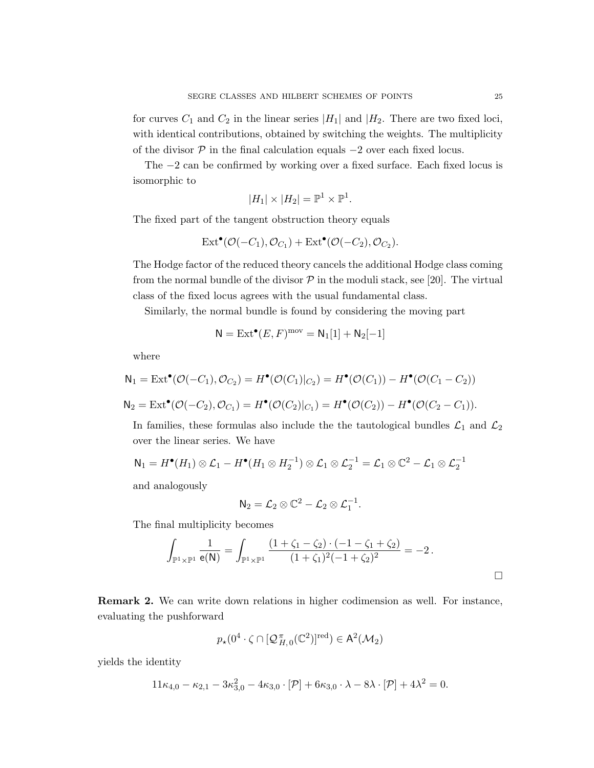for curves  $C_1$  and  $C_2$  in the linear series  $|H_1|$  and  $|H_2|$ . There are two fixed loci, with identical contributions, obtained by switching the weights. The multiplicity of the divisor  $P$  in the final calculation equals  $-2$  over each fixed locus.

The −2 can be confirmed by working over a fixed surface. Each fixed locus is isomorphic to

$$
|H_1| \times |H_2| = \mathbb{P}^1 \times \mathbb{P}^1.
$$

The fixed part of the tangent obstruction theory equals

$$
\mathrm{Ext}^{\bullet}(\mathcal{O}(-C_1),\mathcal{O}_{C_1})+\mathrm{Ext}^{\bullet}(\mathcal{O}(-C_2),\mathcal{O}_{C_2}).
$$

The Hodge factor of the reduced theory cancels the additional Hodge class coming from the normal bundle of the divisor  $P$  in the moduli stack, see [20]. The virtual class of the fixed locus agrees with the usual fundamental class.

Similarly, the normal bundle is found by considering the moving part

$$
\mathsf{N}=\mathrm{Ext}^\bullet(E,F)^{\mathrm{mov}}=\mathsf{N}_1[1]+\mathsf{N}_2[-1]
$$

where

$$
N_1 = \text{Ext}^{\bullet}(\mathcal{O}(-C_1), \mathcal{O}_{C_2}) = H^{\bullet}(\mathcal{O}(C_1)|_{C_2}) = H^{\bullet}(\mathcal{O}(C_1)) - H^{\bullet}(\mathcal{O}(C_1 - C_2))
$$
  

$$
N_2 = \text{Ext}^{\bullet}(\mathcal{O}(-C_2), \mathcal{O}_{C_1}) = H^{\bullet}(\mathcal{O}(C_2)|_{C_1}) = H^{\bullet}(\mathcal{O}(C_2)) - H^{\bullet}(\mathcal{O}(C_2 - C_1)).
$$

In families, these formulas also include the the tautological bundles  $\mathcal{L}_1$  and  $\mathcal{L}_2$ over the linear series. We have

$$
\mathsf{N}_1 = H^{\bullet}(H_1) \otimes \mathcal{L}_1 - H^{\bullet}(H_1 \otimes H_2^{-1}) \otimes \mathcal{L}_1 \otimes \mathcal{L}_2^{-1} = \mathcal{L}_1 \otimes \mathbb{C}^2 - \mathcal{L}_1 \otimes \mathcal{L}_2^{-1}
$$

and analogously

$$
\mathsf{N}_2=\mathcal{L}_2\otimes\mathbb{C}^2-\mathcal{L}_2\otimes\mathcal{L}_1^{-1}.
$$

The final multiplicity becomes

$$
\int_{\mathbb{P}^1 \times \mathbb{P}^1} \frac{1}{e(N)} = \int_{\mathbb{P}^1 \times \mathbb{P}^1} \frac{(1 + \zeta_1 - \zeta_2) \cdot (-1 - \zeta_1 + \zeta_2)}{(1 + \zeta_1)^2 (-1 + \zeta_2)^2} = -2.
$$

Remark 2. We can write down relations in higher codimension as well. For instance, evaluating the pushforward

$$
p_\star(0^4\cdot\zeta\cap [\mathcal{Q}_{H,\,0}^{\,\pi}(\mathbb{C}^2)]^{\textup{red}})\in\mathsf{A}^2(\mathcal{M}_2)
$$

yields the identity

$$
11\kappa_{4,0} - \kappa_{2,1} - 3\kappa_{3,0}^2 - 4\kappa_{3,0} \cdot [\mathcal{P}] + 6\kappa_{3,0} \cdot \lambda - 8\lambda \cdot [\mathcal{P}] + 4\lambda^2 = 0.
$$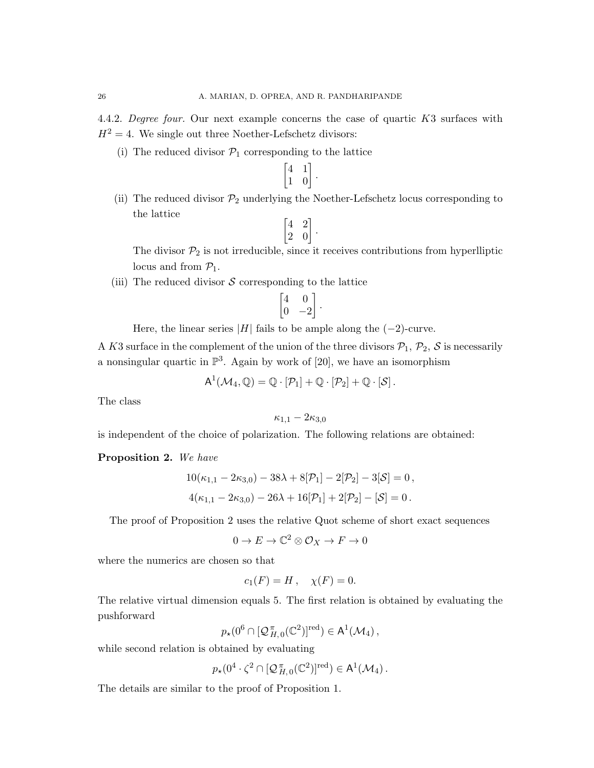4.4.2. Degree four. Our next example concerns the case of quartic K3 surfaces with  $H^2 = 4$ . We single out three Noether-Lefschetz divisors:

(i) The reduced divisor  $P_1$  corresponding to the lattice

$$
\begin{bmatrix} 4 & 1 \\ 1 & 0 \end{bmatrix}.
$$

(ii) The reduced divisor  $\mathcal{P}_2$  underlying the Noether-Lefschetz locus corresponding to the lattice

$$
\begin{bmatrix} 4 & 2 \\ 2 & 0 \end{bmatrix}.
$$

The divisor  $\mathcal{P}_2$  is not irreducible, since it receives contributions from hyperlliptic locus and from  $\mathcal{P}_1$ .

.

(iii) The reduced divisor  $S$  corresponding to the lattice

$$
\begin{bmatrix} 4 & 0 \\ 0 & -2 \end{bmatrix}
$$

Here, the linear series 
$$
|H|
$$
 fails to be ample along the  $(-2)$ -curve.

A K3 surface in the complement of the union of the three divisors  $P_1$ ,  $P_2$ , S is necessarily a nonsingular quartic in  $\mathbb{P}^3$ . Again by work of [20], we have an isomorphism

$$
A^1(\mathcal{M}_4, \mathbb{Q}) = \mathbb{Q} \cdot [\mathcal{P}_1] + \mathbb{Q} \cdot [\mathcal{P}_2] + \mathbb{Q} \cdot [\mathcal{S}].
$$

The class

$$
\kappa_{1,1}-2\kappa_{3,0}
$$

is independent of the choice of polarization. The following relations are obtained:

## Proposition 2. We have

$$
10(\kappa_{1,1} - 2\kappa_{3,0}) - 38\lambda + 8[\mathcal{P}_1] - 2[\mathcal{P}_2] - 3[\mathcal{S}] = 0,
$$
  

$$
4(\kappa_{1,1} - 2\kappa_{3,0}) - 26\lambda + 16[\mathcal{P}_1] + 2[\mathcal{P}_2] - [\mathcal{S}] = 0.
$$

The proof of Proposition 2 uses the relative Quot scheme of short exact sequences

$$
0 \to E \to \mathbb{C}^2 \otimes \mathcal{O}_X \to F \to 0
$$

where the numerics are chosen so that

$$
c_1(F) = H, \quad \chi(F) = 0.
$$

The relative virtual dimension equals 5. The first relation is obtained by evaluating the pushforward

$$
p_{\star}(0^6 \cap [\mathcal{Q}_{H,\,0}^{\pi}(\mathbb{C}^2)]^{\text{red}}) \in \mathsf{A}^1(\mathcal{M}_4),
$$

while second relation is obtained by evaluating

$$
p_\star(0^4\cdot\zeta^2\cap [{\mathcal{ Q}}^{\pi}_{H,\,0}(\mathbb{C}^2)]^{\rm red})\in\mathsf{A}^1(\mathcal{M}_4)\,.
$$

The details are similar to the proof of Proposition 1.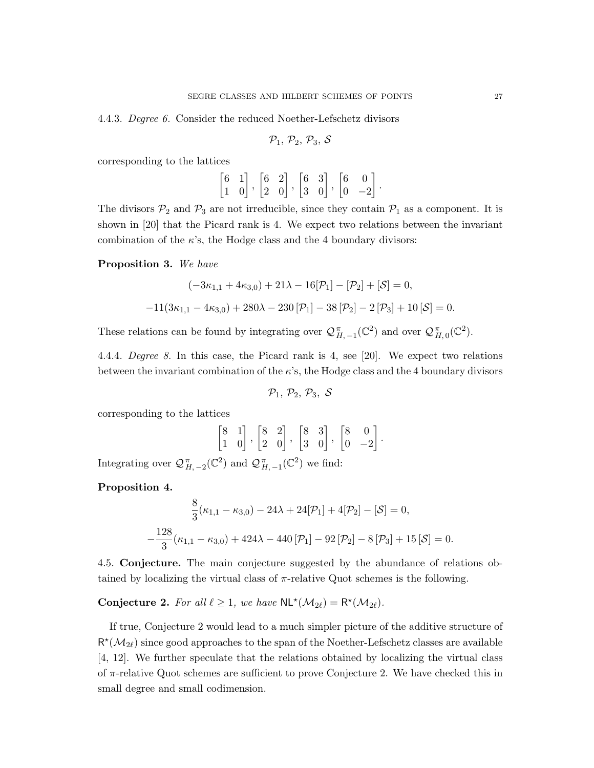4.4.3. Degree 6. Consider the reduced Noether-Lefschetz divisors

$$
\mathcal{P}_1,\,\mathcal{P}_2,\,\mathcal{P}_3,\,\mathcal{S}
$$

corresponding to the lattices

$$
\begin{bmatrix} 6 & 1 \\ 1 & 0 \end{bmatrix}, \begin{bmatrix} 6 & 2 \\ 2 & 0 \end{bmatrix}, \begin{bmatrix} 6 & 3 \\ 3 & 0 \end{bmatrix}, \begin{bmatrix} 6 & 0 \\ 0 & -2 \end{bmatrix}.
$$

The divisors  $P_2$  and  $P_3$  are not irreducible, since they contain  $P_1$  as a component. It is shown in [20] that the Picard rank is 4. We expect two relations between the invariant combination of the  $\kappa$ 's, the Hodge class and the 4 boundary divisors:

Proposition 3. We have

$$
(-3\kappa_{1,1} + 4\kappa_{3,0}) + 21\lambda - 16[\mathcal{P}_1] - [\mathcal{P}_2] + [\mathcal{S}] = 0,
$$
  
-11(3\kappa\_{1,1} - 4\kappa\_{3,0}) + 280\lambda - 230[\mathcal{P}\_1] - 38[\mathcal{P}\_2] - 2[\mathcal{P}\_3] + 10[\mathcal{S}] = 0.

These relations can be found by integrating over  $\mathcal{Q}_{H, -1}^{\pi}(\mathbb{C}^2)$  and over  $\mathcal{Q}_{H, 0}^{\pi}(\mathbb{C}^2)$ .

4.4.4. Degree 8. In this case, the Picard rank is 4, see [20]. We expect two relations between the invariant combination of the  $\kappa$ 's, the Hodge class and the 4 boundary divisors

$$
\mathcal{P}_1,\,\mathcal{P}_2,\,\mathcal{P}_3,\,\,\mathcal{S}
$$

corresponding to the lattices

$$
\begin{bmatrix} 8 & 1 \\ 1 & 0 \end{bmatrix}, \begin{bmatrix} 8 & 2 \\ 2 & 0 \end{bmatrix}, \begin{bmatrix} 8 & 3 \\ 3 & 0 \end{bmatrix}, \begin{bmatrix} 8 & 0 \\ 0 & -2 \end{bmatrix}.
$$

Integrating over  $\mathcal{Q}_{H, -2}^{\pi}(\mathbb{C}^2)$  and  $\mathcal{Q}_{H, -1}^{\pi}(\mathbb{C}^2)$  we find:

Proposition 4.

$$
\frac{8}{3}(\kappa_{1,1} - \kappa_{3,0}) - 24\lambda + 24[\mathcal{P}_1] + 4[\mathcal{P}_2] - [\mathcal{S}] = 0,
$$
  

$$
-\frac{128}{3}(\kappa_{1,1} - \kappa_{3,0}) + 424\lambda - 440[\mathcal{P}_1] - 92[\mathcal{P}_2] - 8[\mathcal{P}_3] + 15[\mathcal{S}] = 0.
$$

4.5. Conjecture. The main conjecture suggested by the abundance of relations obtained by localizing the virtual class of  $\pi$ -relative Quot schemes is the following.

**Conjecture 2.** For all  $\ell \geq 1$ , we have  $\mathsf{NL}^\star(\mathcal{M}_{2\ell}) = \mathsf{R}^\star(\mathcal{M}_{2\ell})$ .

If true, Conjecture 2 would lead to a much simpler picture of the additive structure of  $R^{\star}(\mathcal{M}_{2\ell})$  since good approaches to the span of the Noether-Lefschetz classes are available [4, 12]. We further speculate that the relations obtained by localizing the virtual class of  $\pi$ -relative Quot schemes are sufficient to prove Conjecture 2. We have checked this in small degree and small codimension.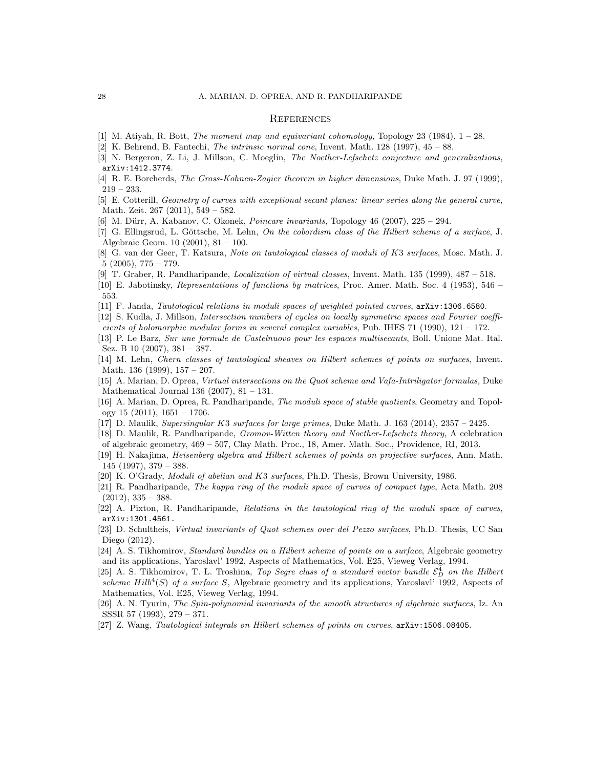#### **REFERENCES**

- [1] M. Atiyah, R. Bott, The moment map and equivariant cohomology, Topology 23 (1984), 1 28.
- [2] K. Behrend, B. Fantechi, The intrinsic normal cone, Invent. Math. 128 (1997), 45 88.
- [3] N. Bergeron, Z. Li, J. Millson, C. Moeglin, The Noether-Lefschetz conjecture and generalizations, arXiv:1412.3774.
- [4] R. E. Borcherds, The Gross-Kohnen-Zagier theorem in higher dimensions, Duke Math. J. 97 (1999), 219 – 233.
- [5] E. Cotterill, Geometry of curves with exceptional secant planes: linear series along the general curve, Math. Zeit. 267 (2011), 549 – 582.
- [6] M. Dürr, A. Kabanov, C. Okonek, *Poincare invariants*, Topology 46 (2007), 225 294.
- [7] G. Ellingsrud, L. Göttsche, M. Lehn, On the cobordism class of the Hilbert scheme of a surface, J. Algebraic Geom. 10 (2001), 81 – 100.
- [8] G. van der Geer, T. Katsura, Note on tautological classes of moduli of K3 surfaces, Mosc. Math. J. 5 (2005), 775 – 779.
- [9] T. Graber, R. Pandharipande, Localization of virtual classes, Invent. Math. 135 (1999), 487 518.
- [10] E. Jabotinsky, Representations of functions by matrices, Proc. Amer. Math. Soc. 4 (1953), 546 553.
- [11] F. Janda, Tautological relations in moduli spaces of weighted pointed curves, arXiv:1306.6580.
- [12] S. Kudla, J. Millson, Intersection numbers of cycles on locally symmetric spaces and Fourier coefficients of holomorphic modular forms in several complex variables, Pub. IHES 71 (1990), 121 – 172.
- [13] P. Le Barz, Sur une formule de Castelnuovo pour les espaces multisecants, Boll. Unione Mat. Ital. Sez. B 10 (2007), 381 – 387.
- [14] M. Lehn, Chern classes of tautological sheaves on Hilbert schemes of points on surfaces, Invent. Math. 136 (1999), 157 – 207.
- [15] A. Marian, D. Oprea, Virtual intersections on the Quot scheme and Vafa-Intriligator formulas, Duke Mathematical Journal 136 (2007), 81 – 131.
- [16] A. Marian, D. Oprea, R. Pandharipande, The moduli space of stable quotients, Geometry and Topology 15 (2011), 1651 – 1706.
- [17] D. Maulik, Supersingular K3 surfaces for large primes, Duke Math. J. 163 (2014), 2357 2425.
- [18] D. Maulik, R. Pandharipande, Gromov-Witten theory and Noether-Lefschetz theory, A celebration of algebraic geometry, 469 – 507, Clay Math. Proc., 18, Amer. Math. Soc., Providence, RI, 2013.
- [19] H. Nakajima, Heisenberg algebra and Hilbert schemes of points on projective surfaces, Ann. Math. 145 (1997), 379 – 388.
- [20] K. O'Grady, Moduli of abelian and K3 surfaces, Ph.D. Thesis, Brown University, 1986.
- [21] R. Pandharipande, The kappa ring of the moduli space of curves of compact type, Acta Math. 208  $(2012), 335 - 388.$
- [22] A. Pixton, R. Pandharipande, Relations in the tautological ring of the moduli space of curves, arXiv:1301.4561.
- [23] D. Schultheis, Virtual invariants of Quot schemes over del Pezzo surfaces, Ph.D. Thesis, UC San Diego (2012).
- [24] A. S. Tikhomirov, Standard bundles on a Hilbert scheme of points on a surface, Algebraic geometry and its applications, Yaroslavl' 1992, Aspects of Mathematics, Vol. E25, Vieweg Verlag, 1994.
- [25] A. S. Tikhomirov, T. L. Troshina, Top Segre class of a standard vector bundle  $\mathcal{E}_D^4$  on the Hilbert scheme  $Hilb<sup>4</sup>(S)$  of a surface S, Algebraic geometry and its applications, Yaroslavl' 1992, Aspects of Mathematics, Vol. E25, Vieweg Verlag, 1994.
- [26] A. N. Tyurin, The Spin-polynomial invariants of the smooth structures of algebraic surfaces, Iz. An SSSR 57 (1993), 279 – 371.
- [27] Z. Wang, Tautological integrals on Hilbert schemes of points on curves, arXiv:1506.08405.